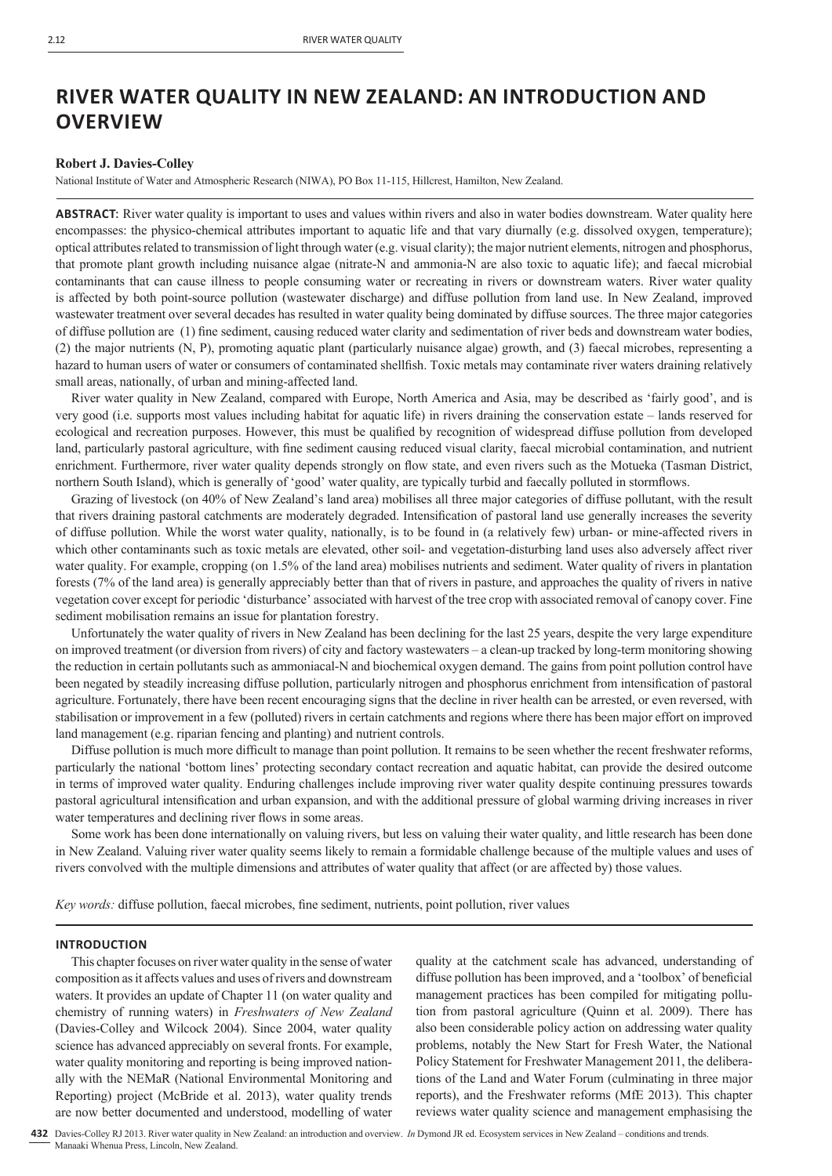# **RIVER WATER QUALITY IN NEW ZEALAND: AN INTRODUCTION AND OVERVIEW**

# **Robert J. Davies-Colley**

National Institute of Water and Atmospheric Research (NIWA), PO Box 11-115, Hillcrest, Hamilton, New Zealand.

**ABSTRACT**: River water quality is important to uses and values within rivers and also in water bodies downstream. Water quality here encompasses: the physico-chemical attributes important to aquatic life and that vary diurnally (e.g. dissolved oxygen, temperature); optical attributes related to transmission of light through water (e.g. visual clarity); the major nutrient elements, nitrogen and phosphorus, that promote plant growth including nuisance algae (nitrate-N and ammonia-N are also toxic to aquatic life); and faecal microbial contaminants that can cause illness to people consuming water or recreating in rivers or downstream waters. River water quality is affected by both point-source pollution (wastewater discharge) and diffuse pollution from land use. In New Zealand, improved wastewater treatment over several decades has resulted in water quality being dominated by diffuse sources. The three major categories of diffuse pollution are (1) fine sediment, causing reduced water clarity and sedimentation of river beds and downstream water bodies, (2) the major nutrients (N, P), promoting aquatic plant (particularly nuisance algae) growth, and (3) faecal microbes, representing a hazard to human users of water or consumers of contaminated shellfish. Toxic metals may contaminate river waters draining relatively small areas, nationally, of urban and mining-affected land.

River water quality in New Zealand, compared with Europe, North America and Asia, may be described as 'fairly good', and is very good (i.e. supports most values including habitat for aquatic life) in rivers draining the conservation estate – lands reserved for ecological and recreation purposes. However, this must be qualified by recognition of widespread diffuse pollution from developed land, particularly pastoral agriculture, with fine sediment causing reduced visual clarity, faecal microbial contamination, and nutrient enrichment. Furthermore, river water quality depends strongly on flow state, and even rivers such as the Motueka (Tasman District, northern South Island), which is generally of 'good' water quality, are typically turbid and faecally polluted in stormflows.

Grazing of livestock (on 40% of New Zealand's land area) mobilises all three major categories of diffuse pollutant, with the result that rivers draining pastoral catchments are moderately degraded. Intensification of pastoral land use generally increases the severity of diffuse pollution. While the worst water quality, nationally, is to be found in (a relatively few) urban- or mine-affected rivers in which other contaminants such as toxic metals are elevated, other soil- and vegetation-disturbing land uses also adversely affect river water quality. For example, cropping (on 1.5% of the land area) mobilises nutrients and sediment. Water quality of rivers in plantation forests (7% of the land area) is generally appreciably better than that of rivers in pasture, and approaches the quality of rivers in native vegetation cover except for periodic 'disturbance' associated with harvest of the tree crop with associated removal of canopy cover. Fine sediment mobilisation remains an issue for plantation forestry.

Unfortunately the water quality of rivers in New Zealand has been declining for the last 25 years, despite the very large expenditure on improved treatment (or diversion from rivers) of city and factory wastewaters – a clean-up tracked by long-term monitoring showing the reduction in certain pollutants such as ammoniacal-N and biochemical oxygen demand. The gains from point pollution control have been negated by steadily increasing diffuse pollution, particularly nitrogen and phosphorus enrichment from intensification of pastoral agriculture. Fortunately, there have been recent encouraging signs that the decline in river health can be arrested, or even reversed, with stabilisation or improvement in a few (polluted) rivers in certain catchments and regions where there has been major effort on improved land management (e.g. riparian fencing and planting) and nutrient controls.

Diffuse pollution is much more difficult to manage than point pollution. It remains to be seen whether the recent freshwater reforms, particularly the national 'bottom lines' protecting secondary contact recreation and aquatic habitat, can provide the desired outcome in terms of improved water quality. Enduring challenges include improving river water quality despite continuing pressures towards pastoral agricultural intensification and urban expansion, and with the additional pressure of global warming driving increases in river water temperatures and declining river flows in some areas.

Some work has been done internationally on valuing rivers, but less on valuing their water quality, and little research has been done in New Zealand. Valuing river water quality seems likely to remain a formidable challenge because of the multiple values and uses of rivers convolved with the multiple dimensions and attributes of water quality that affect (or are affected by) those values.

*Key words:* diffuse pollution, faecal microbes, fine sediment, nutrients, point pollution, river values

## **INTRODUCTION**

This chapter focuses on river water quality in the sense of water composition as it affects values and uses of rivers and downstream waters. It provides an update of Chapter 11 (on water quality and chemistry of running waters) in *Freshwaters of New Zealand* (Davies-Colley and Wilcock 2004). Since 2004, water quality science has advanced appreciably on several fronts. For example, water quality monitoring and reporting is being improved nationally with the NEMaR (National Environmental Monitoring and Reporting) project (McBride et al. 2013), water quality trends are now better documented and understood, modelling of water

quality at the catchment scale has advanced, understanding of diffuse pollution has been improved, and a 'toolbox' of beneficial management practices has been compiled for mitigating pollution from pastoral agriculture (Quinn et al. 2009). There has also been considerable policy action on addressing water quality problems, notably the New Start for Fresh Water, the National Policy Statement for Freshwater Management 2011, the deliberations of the Land and Water Forum (culminating in three major reports), and the Freshwater reforms (MfE 2013). This chapter reviews water quality science and management emphasising the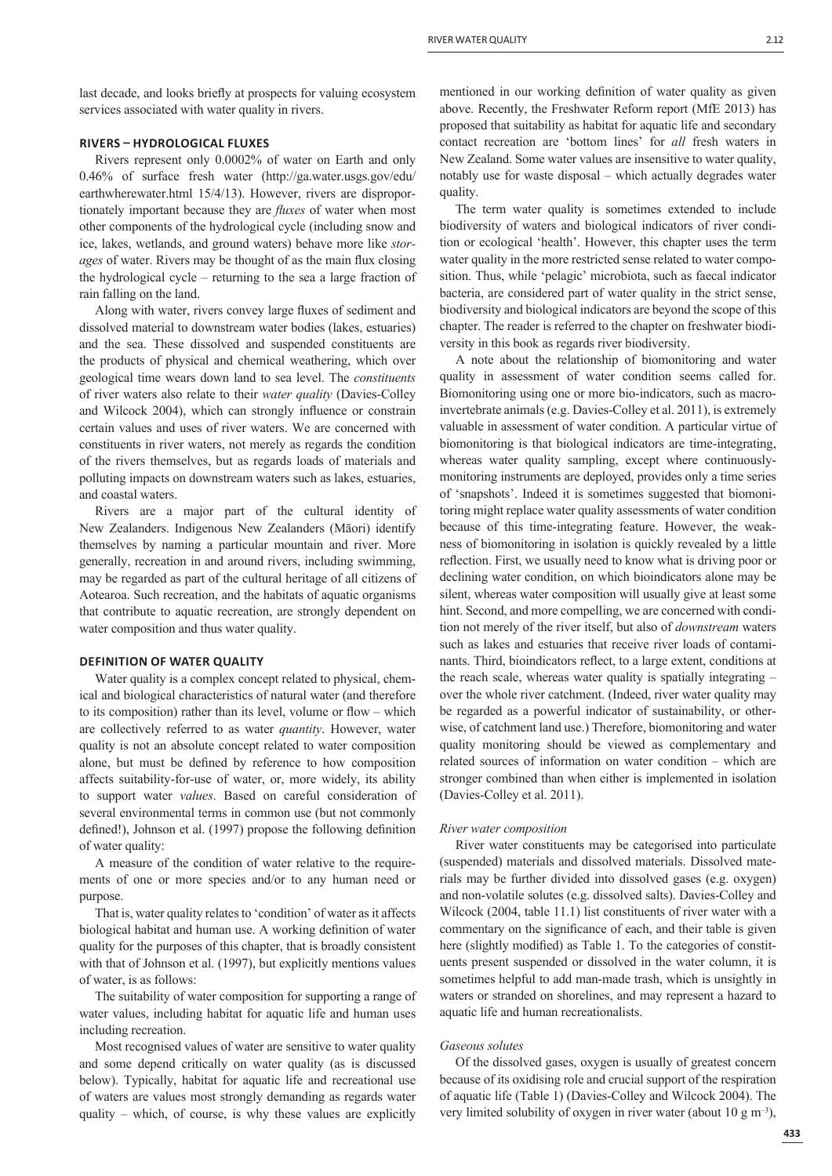last decade, and looks briefly at prospects for valuing ecosystem services associated with water quality in rivers.

# **RIVERS ͵ HYDROLOGICAL FLUXES**

Rivers represent only 0.0002% of water on Earth and only 0.46% of surface fresh water (http://ga.water.usgs.gov/edu/ earthwherewater.html 15/4/13). However, rivers are disproportionately important because they are *fluxes* of water when most other components of the hydrological cycle (including snow and ice, lakes, wetlands, and ground waters) behave more like *storages* of water. Rivers may be thought of as the main flux closing the hydrological cycle – returning to the sea a large fraction of rain falling on the land.

Along with water, rivers convey large fluxes of sediment and dissolved material to downstream water bodies (lakes, estuaries) and the sea. These dissolved and suspended constituents are the products of physical and chemical weathering, which over geological time wears down land to sea level. The *constituents* of river waters also relate to their *water quality* (Davies-Colley and Wilcock 2004), which can strongly influence or constrain certain values and uses of river waters. We are concerned with constituents in river waters, not merely as regards the condition of the rivers themselves, but as regards loads of materials and polluting impacts on downstream waters such as lakes, estuaries, and coastal waters.

Rivers are a major part of the cultural identity of New Zealanders. Indigenous New Zealanders (Māori) identify themselves by naming a particular mountain and river. More generally, recreation in and around rivers, including swimming, may be regarded as part of the cultural heritage of all citizens of Aotearoa. Such recreation, and the habitats of aquatic organisms that contribute to aquatic recreation, are strongly dependent on water composition and thus water quality.

#### **DEFINITION OF WATER QUALITY**

Water quality is a complex concept related to physical, chemical and biological characteristics of natural water (and therefore to its composition) rather than its level, volume or flow – which are collectively referred to as water *quantity*. However, water quality is not an absolute concept related to water composition alone, but must be defined by reference to how composition affects suitability-for-use of water, or, more widely, its ability to support water *values*. Based on careful consideration of several environmental terms in common use (but not commonly defined!), Johnson et al. (1997) propose the following definition of water quality:

A measure of the condition of water relative to the requirements of one or more species and/or to any human need or purpose.

That is, water quality relates to 'condition' of water as it affects biological habitat and human use. A working definition of water quality for the purposes of this chapter, that is broadly consistent with that of Johnson et al. (1997), but explicitly mentions values of water, is as follows:

The suitability of water composition for supporting a range of water values, including habitat for aquatic life and human uses including recreation.

Most recognised values of water are sensitive to water quality and some depend critically on water quality (as is discussed below). Typically, habitat for aquatic life and recreational use of waters are values most strongly demanding as regards water quality – which, of course, is why these values are explicitly

mentioned in our working definition of water quality as given above. Recently, the Freshwater Reform report (MfE 2013) has proposed that suitability as habitat for aquatic life and secondary contact recreation are 'bottom lines' for *all* fresh waters in New Zealand. Some water values are insensitive to water quality, notably use for waste disposal – which actually degrades water quality.

The term water quality is sometimes extended to include biodiversity of waters and biological indicators of river condition or ecological 'health'. However, this chapter uses the term water quality in the more restricted sense related to water composition. Thus, while 'pelagic' microbiota, such as faecal indicator bacteria, are considered part of water quality in the strict sense, biodiversity and biological indicators are beyond the scope of this chapter. The reader is referred to the chapter on freshwater biodiversity in this book as regards river biodiversity.

A note about the relationship of biomonitoring and water quality in assessment of water condition seems called for. Biomonitoring using one or more bio-indicators, such as macroinvertebrate animals (e.g. Davies-Colley et al. 2011), is extremely valuable in assessment of water condition. A particular virtue of biomonitoring is that biological indicators are time-integrating, whereas water quality sampling, except where continuouslymonitoring instruments are deployed, provides only a time series of 'snapshots'. Indeed it is sometimes suggested that biomonitoring might replace water quality assessments of water condition because of this time-integrating feature. However, the weakness of biomonitoring in isolation is quickly revealed by a little reflection. First, we usually need to know what is driving poor or declining water condition, on which bioindicators alone may be silent, whereas water composition will usually give at least some hint. Second, and more compelling, we are concerned with condition not merely of the river itself, but also of *downstream* waters such as lakes and estuaries that receive river loads of contaminants. Third, bioindicators reflect, to a large extent, conditions at the reach scale, whereas water quality is spatially integrating – over the whole river catchment. (Indeed, river water quality may be regarded as a powerful indicator of sustainability, or otherwise, of catchment land use.) Therefore, biomonitoring and water quality monitoring should be viewed as complementary and related sources of information on water condition – which are stronger combined than when either is implemented in isolation (Davies-Colley et al. 2011).

#### *River water composition*

River water constituents may be categorised into particulate (suspended) materials and dissolved materials. Dissolved materials may be further divided into dissolved gases (e.g. oxygen) and non-volatile solutes (e.g. dissolved salts). Davies-Colley and Wilcock (2004, table 11.1) list constituents of river water with a commentary on the significance of each, and their table is given here (slightly modified) as Table 1. To the categories of constituents present suspended or dissolved in the water column, it is sometimes helpful to add man-made trash, which is unsightly in waters or stranded on shorelines, and may represent a hazard to aquatic life and human recreationalists.

# *Gaseous solutes*

Of the dissolved gases, oxygen is usually of greatest concern because of its oxidising role and crucial support of the respiration of aquatic life (Table 1) (Davies-Colley and Wilcock 2004). The very limited solubility of oxygen in river water (about 10 g  $m^{-3}$ ),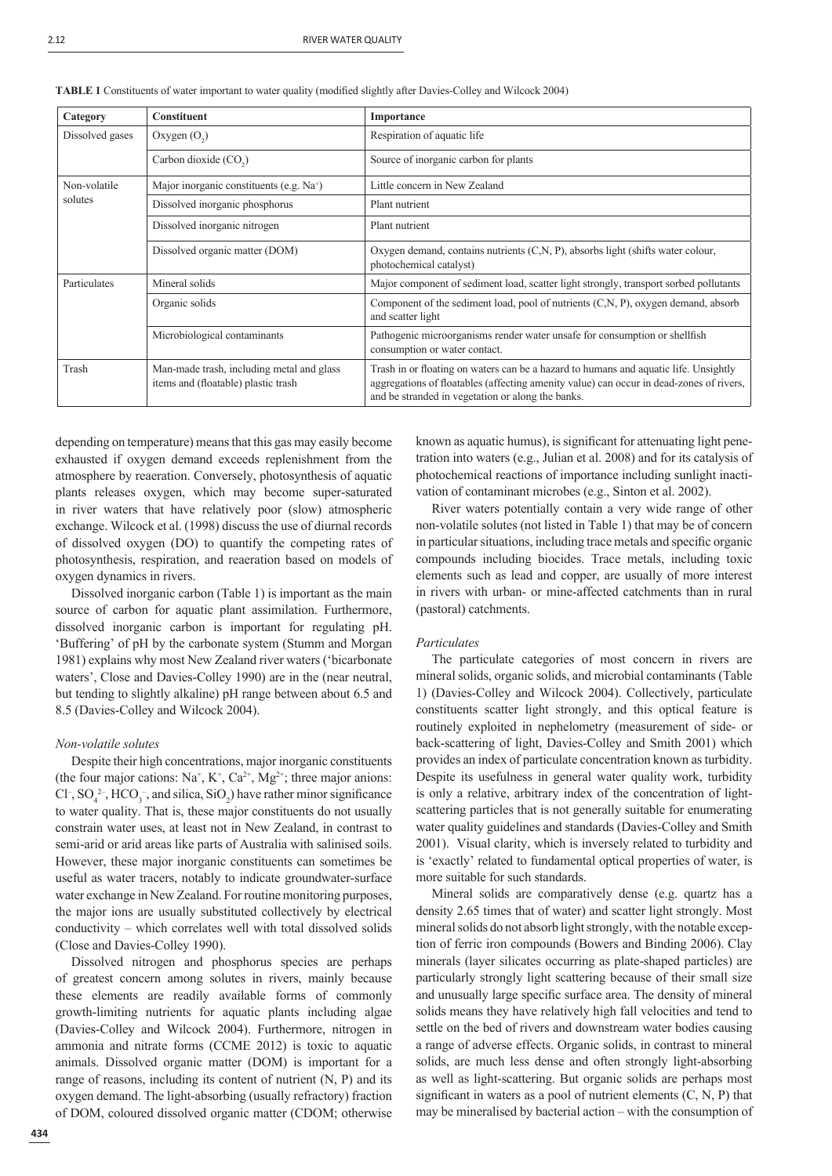| ۰, | ۰. |
|----|----|
|    |    |

| Category                | <b>Constituent</b>                                                               | Importance                                                                                                                                                                                                                           |  |
|-------------------------|----------------------------------------------------------------------------------|--------------------------------------------------------------------------------------------------------------------------------------------------------------------------------------------------------------------------------------|--|
| Dissolved gases         | Oxygen $(O_2)$                                                                   | Respiration of aquatic life                                                                                                                                                                                                          |  |
|                         | Carbon dioxide (CO <sub>2</sub> )                                                | Source of inorganic carbon for plants                                                                                                                                                                                                |  |
| Non-volatile<br>solutes | Major inorganic constituents (e.g. $Na+$ )                                       | Little concern in New Zealand                                                                                                                                                                                                        |  |
|                         | Dissolved inorganic phosphorus                                                   | Plant nutrient                                                                                                                                                                                                                       |  |
|                         | Dissolved inorganic nitrogen                                                     | Plant nutrient                                                                                                                                                                                                                       |  |
|                         | Dissolved organic matter (DOM)                                                   | Oxygen demand, contains nutrients (C,N, P), absorbs light (shifts water colour,<br>photochemical catalyst)                                                                                                                           |  |
| Particulates            | Mineral solids                                                                   | Major component of sediment load, scatter light strongly, transport sorbed pollutants                                                                                                                                                |  |
|                         | Organic solids                                                                   | Component of the sediment load, pool of nutrients $(C, N, P)$ , oxygen demand, absorb<br>and scatter light                                                                                                                           |  |
|                         | Microbiological contaminants                                                     | Pathogenic microorganisms render water unsafe for consumption or shellfish<br>consumption or water contact.                                                                                                                          |  |
| Trash                   | Man-made trash, including metal and glass<br>items and (floatable) plastic trash | Trash in or floating on waters can be a hazard to humans and aquatic life. Unsightly<br>aggregations of floatables (affecting amenity value) can occur in dead-zones of rivers,<br>and be stranded in vegetation or along the banks. |  |

TABLE 1 Constituents of water important to water quality (modified slightly after Davies-Colley and Wilcock 2004)

depending on temperature) means that this gas may easily become exhausted if oxygen demand exceeds replenishment from the atmosphere by reaeration. Conversely, photosynthesis of aquatic plants releases oxygen, which may become super-saturated in river waters that have relatively poor (slow) atmospheric exchange. Wilcock et al. (1998) discuss the use of diurnal records of dissolved oxygen (DO) to quantify the competing rates of photosynthesis, respiration, and reaeration based on models of oxygen dynamics in rivers.

Dissolved inorganic carbon (Table 1) is important as the main source of carbon for aquatic plant assimilation. Furthermore, dissolved inorganic carbon is important for regulating pH. 'Buffering' of pH by the carbonate system (Stumm and Morgan 1981) explains why most New Zealand river waters ('bicarbonate waters', Close and Davies-Colley 1990) are in the (near neutral, but tending to slightly alkaline) pH range between about 6.5 and 8.5 (Davies-Colley and Wilcock 2004).

#### *Non-volatile solutes*

Despite their high concentrations, major inorganic constituents (the four major cations:  $Na^+$ ,  $K^+$ ,  $Ca^{2+}$ ,  $Mg^{2+}$ ; three major anions: Cl<sup>-</sup>, SO<sub>4</sub><sup>2</sup>-, HCO<sub>3</sub><sup>-</sup>, and silica, SiO<sub>2</sub>) have rather minor significance to water quality. That is, these major constituents do not usually constrain water uses, at least not in New Zealand, in contrast to semi-arid or arid areas like parts of Australia with salinised soils. However, these major inorganic constituents can sometimes be useful as water tracers, notably to indicate groundwater-surface water exchange in New Zealand. For routine monitoring purposes, the major ions are usually substituted collectively by electrical conductivity – which correlates well with total dissolved solids (Close and Davies-Colley 1990).

Dissolved nitrogen and phosphorus species are perhaps of greatest concern among solutes in rivers, mainly because these elements are readily available forms of commonly growth-limiting nutrients for aquatic plants including algae (Davies-Colley and Wilcock 2004). Furthermore, nitrogen in ammonia and nitrate forms (CCME 2012) is toxic to aquatic animals. Dissolved organic matter (DOM) is important for a range of reasons, including its content of nutrient (N, P) and its oxygen demand. The light-absorbing (usually refractory) fraction of DOM, coloured dissolved organic matter (CDOM; otherwise

known as aquatic humus), is significant for attenuating light penetration into waters (e.g., Julian et al. 2008) and for its catalysis of photochemical reactions of importance including sunlight inactivation of contaminant microbes (e.g., Sinton et al. 2002).

River waters potentially contain a very wide range of other non-volatile solutes (not listed in Table 1) that may be of concern in particular situations, including trace metals and specific organic compounds including biocides. Trace metals, including toxic elements such as lead and copper, are usually of more interest in rivers with urban- or mine-affected catchments than in rural (pastoral) catchments.

## *Particulates*

The particulate categories of most concern in rivers are mineral solids, organic solids, and microbial contaminants (Table 1) (Davies-Colley and Wilcock 2004). Collectively, particulate constituents scatter light strongly, and this optical feature is routinely exploited in nephelometry (measurement of side- or back-scattering of light, Davies-Colley and Smith 2001) which provides an index of particulate concentration known as turbidity. Despite its usefulness in general water quality work, turbidity is only a relative, arbitrary index of the concentration of lightscattering particles that is not generally suitable for enumerating water quality guidelines and standards (Davies-Colley and Smith 2001). Visual clarity, which is inversely related to turbidity and is 'exactly' related to fundamental optical properties of water, is more suitable for such standards.

Mineral solids are comparatively dense (e.g. quartz has a density 2.65 times that of water) and scatter light strongly. Most mineral solids do not absorb light strongly, with the notable exception of ferric iron compounds (Bowers and Binding 2006). Clay minerals (layer silicates occurring as plate-shaped particles) are particularly strongly light scattering because of their small size and unusually large specific surface area. The density of mineral solids means they have relatively high fall velocities and tend to settle on the bed of rivers and downstream water bodies causing a range of adverse effects. Organic solids, in contrast to mineral solids, are much less dense and often strongly light-absorbing as well as light-scattering. But organic solids are perhaps most significant in waters as a pool of nutrient elements  $(C, N, P)$  that may be mineralised by bacterial action – with the consumption of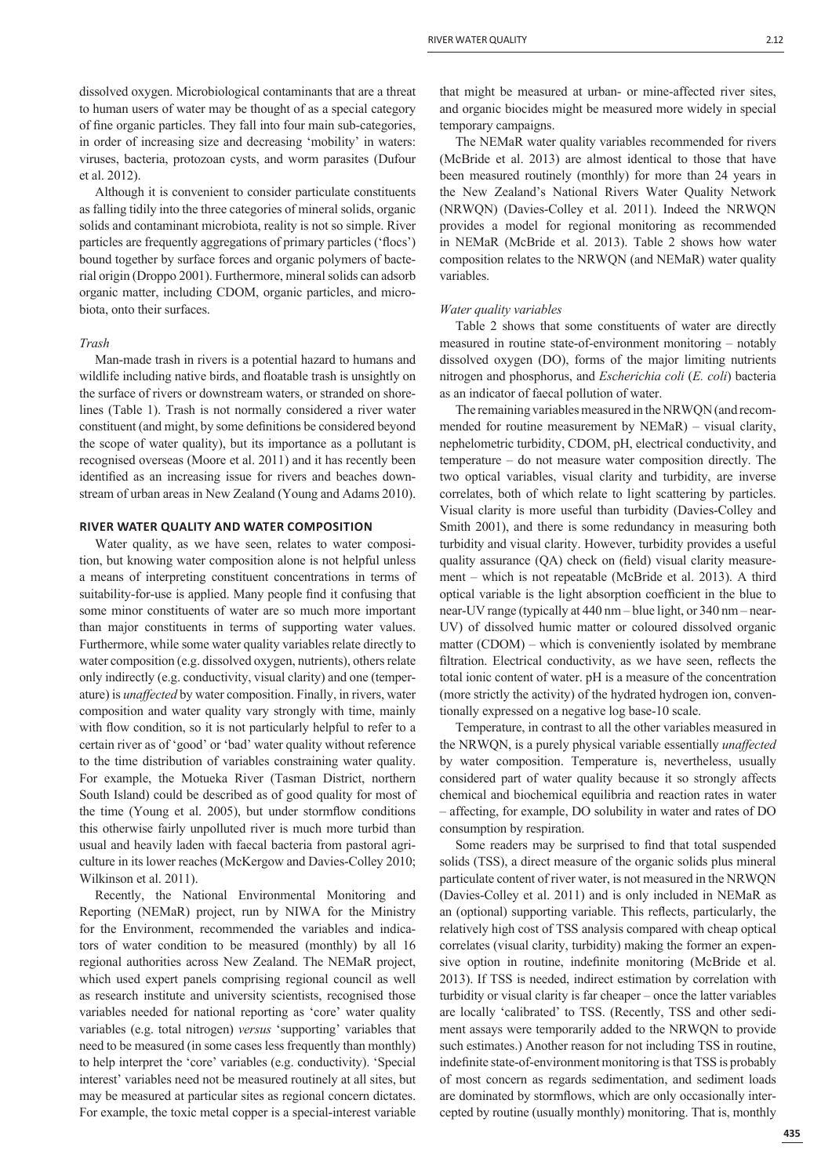dissolved oxygen. Microbiological contaminants that are a threat to human users of water may be thought of as a special category of fine organic particles. They fall into four main sub-categories, in order of increasing size and decreasing 'mobility' in waters: viruses, bacteria, protozoan cysts, and worm parasites (Dufour et al. 2012).

Although it is convenient to consider particulate constituents as falling tidily into the three categories of mineral solids, organic solids and contaminant microbiota, reality is not so simple. River particles are frequently aggregations of primary particles ('flocs') bound together by surface forces and organic polymers of bacterial origin (Droppo 2001). Furthermore, mineral solids can adsorb organic matter, including CDOM, organic particles, and microbiota, onto their surfaces.

#### *Trash*

Man-made trash in rivers is a potential hazard to humans and wildlife including native birds, and floatable trash is unsightly on the surface of rivers or downstream waters, or stranded on shorelines (Table 1). Trash is not normally considered a river water constituent (and might, by some definitions be considered beyond the scope of water quality), but its importance as a pollutant is recognised overseas (Moore et al. 2011) and it has recently been identified as an increasing issue for rivers and beaches downstream of urban areas in New Zealand (Young and Adams 2010).

# **RIVER WATER QUALITY AND WATER COMPOSITION**

Water quality, as we have seen, relates to water composition, but knowing water composition alone is not helpful unless a means of interpreting constituent concentrations in terms of suitability-for-use is applied. Many people find it confusing that some minor constituents of water are so much more important than major constituents in terms of supporting water values. Furthermore, while some water quality variables relate directly to water composition (e.g. dissolved oxygen, nutrients), others relate only indirectly (e.g. conductivity, visual clarity) and one (temperature) is *unaffected* by water composition. Finally, in rivers, water composition and water quality vary strongly with time, mainly with flow condition, so it is not particularly helpful to refer to a certain river as of 'good' or 'bad' water quality without reference to the time distribution of variables constraining water quality. For example, the Motueka River (Tasman District, northern South Island) could be described as of good quality for most of the time (Young et al. 2005), but under stormflow conditions this otherwise fairly unpolluted river is much more turbid than usual and heavily laden with faecal bacteria from pastoral agriculture in its lower reaches (McKergow and Davies-Colley 2010; Wilkinson et al. 2011).

Recently, the National Environmental Monitoring and Reporting (NEMaR) project, run by NIWA for the Ministry for the Environment, recommended the variables and indicators of water condition to be measured (monthly) by all 16 regional authorities across New Zealand. The NEMaR project, which used expert panels comprising regional council as well as research institute and university scientists, recognised those variables needed for national reporting as 'core' water quality variables (e.g. total nitrogen) *versus* 'supporting' variables that need to be measured (in some cases less frequently than monthly) to help interpret the 'core' variables (e.g. conductivity). 'Special interest' variables need not be measured routinely at all sites, but may be measured at particular sites as regional concern dictates. For example, the toxic metal copper is a special-interest variable that might be measured at urban- or mine-affected river sites, and organic biocides might be measured more widely in special temporary campaigns.

The NEMaR water quality variables recommended for rivers (McBride et al. 2013) are almost identical to those that have been measured routinely (monthly) for more than 24 years in the New Zealand's National Rivers Water Quality Network (NRWQN) (Davies-Colley et al. 2011). Indeed the NRWQN provides a model for regional monitoring as recommended in NEMaR (McBride et al. 2013). Table 2 shows how water composition relates to the NRWQN (and NEMaR) water quality variables.

#### *Water quality variables*

Table 2 shows that some constituents of water are directly measured in routine state-of-environment monitoring – notably dissolved oxygen (DO), forms of the major limiting nutrients nitrogen and phosphorus, and *Escherichia coli* (*E. coli*) bacteria as an indicator of faecal pollution of water.

The remaining variables measured in the NRWQN (and recommended for routine measurement by NEMaR) – visual clarity, nephelometric turbidity, CDOM, pH, electrical conductivity, and temperature – do not measure water composition directly. The two optical variables, visual clarity and turbidity, are inverse correlates, both of which relate to light scattering by particles. Visual clarity is more useful than turbidity (Davies-Colley and Smith 2001), and there is some redundancy in measuring both turbidity and visual clarity. However, turbidity provides a useful quality assurance  $(OA)$  check on (field) visual clarity measurement – which is not repeatable (McBride et al. 2013). A third optical variable is the light absorption coefficient in the blue to near-UV range (typically at 440 nm – blue light, or 340 nm – near-UV) of dissolved humic matter or coloured dissolved organic matter (CDOM) – which is conveniently isolated by membrane filtration. Electrical conductivity, as we have seen, reflects the total ionic content of water. pH is a measure of the concentration (more strictly the activity) of the hydrated hydrogen ion, conventionally expressed on a negative log base-10 scale.

Temperature, in contrast to all the other variables measured in the NRWQN, is a purely physical variable essentially *unaffected* by water composition. Temperature is, nevertheless, usually considered part of water quality because it so strongly affects chemical and biochemical equilibria and reaction rates in water – affecting, for example, DO solubility in water and rates of DO consumption by respiration.

Some readers may be surprised to find that total suspended solids (TSS), a direct measure of the organic solids plus mineral particulate content of river water, is not measured in the NRWQN (Davies-Colley et al. 2011) and is only included in NEMaR as an (optional) supporting variable. This reflects, particularly, the relatively high cost of TSS analysis compared with cheap optical correlates (visual clarity, turbidity) making the former an expensive option in routine, indefinite monitoring (McBride et al. 2013). If TSS is needed, indirect estimation by correlation with turbidity or visual clarity is far cheaper – once the latter variables are locally 'calibrated' to TSS. (Recently, TSS and other sediment assays were temporarily added to the NRWQN to provide such estimates.) Another reason for not including TSS in routine, indefinite state-of-environment monitoring is that TSS is probably of most concern as regards sedimentation, and sediment loads are dominated by stormflows, which are only occasionally intercepted by routine (usually monthly) monitoring. That is, monthly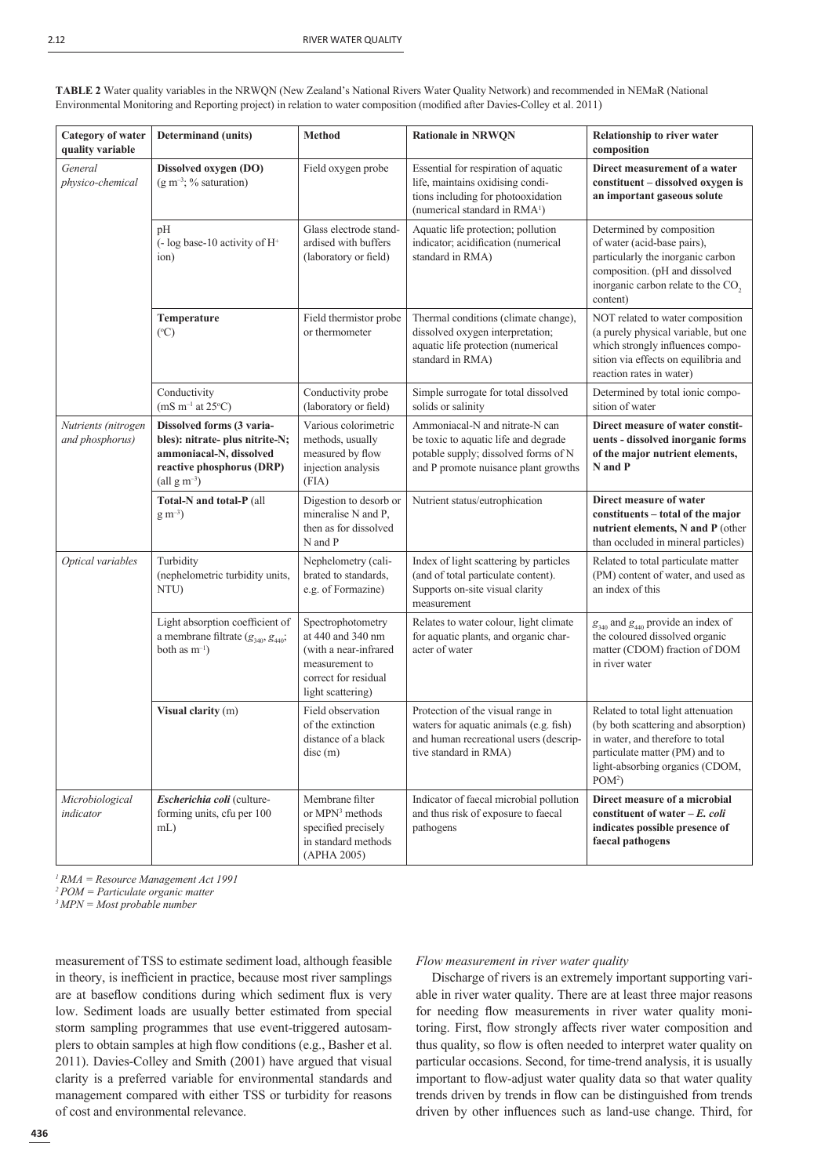| Category of water<br>quality variable  | <b>Determinand</b> (units)                                                                                                                             | Method                                                                                                                         | <b>Rationale in NRWQN</b>                                                                                                                                   | Relationship to river water<br>composition                                                                                                                                                    |
|----------------------------------------|--------------------------------------------------------------------------------------------------------------------------------------------------------|--------------------------------------------------------------------------------------------------------------------------------|-------------------------------------------------------------------------------------------------------------------------------------------------------------|-----------------------------------------------------------------------------------------------------------------------------------------------------------------------------------------------|
| General<br>physico-chemical            | Dissolved oxygen (DO)<br>$(g m^{-3}; %$ saturation)                                                                                                    | Field oxygen probe                                                                                                             | Essential for respiration of aquatic<br>life, maintains oxidising condi-<br>tions including for photooxidation<br>(numerical standard in RMA <sup>1</sup> ) | Direct measurement of a water<br>constituent - dissolved oxygen is<br>an important gaseous solute                                                                                             |
|                                        | pH<br>$\left(-\log\text{base-}10\right)$ activity of H <sup>+</sup><br>ion)                                                                            | Glass electrode stand-<br>ardised with buffers<br>(laboratory or field)                                                        | Aquatic life protection; pollution<br>indicator; acidification (numerical<br>standard in RMA)                                                               | Determined by composition<br>of water (acid-base pairs),<br>particularly the inorganic carbon<br>composition. (pH and dissolved<br>inorganic carbon relate to the CO <sub>2</sub><br>content) |
|                                        | Temperature<br>(C)                                                                                                                                     | Field thermistor probe<br>or thermometer                                                                                       | Thermal conditions (climate change),<br>dissolved oxygen interpretation;<br>aquatic life protection (numerical<br>standard in RMA)                          | NOT related to water composition<br>(a purely physical variable, but one<br>which strongly influences compo-<br>sition via effects on equilibria and<br>reaction rates in water)              |
|                                        | Conductivity<br>$(mS m^{-1}$ at 25°C)                                                                                                                  | Conductivity probe<br>(laboratory or field)                                                                                    | Simple surrogate for total dissolved<br>solids or salinity                                                                                                  | Determined by total ionic compo-<br>sition of water                                                                                                                                           |
| Nutrients (nitrogen<br>and phosphorus) | Dissolved forms (3 varia-<br>bles): nitrate- plus nitrite-N;<br>ammoniacal-N, dissolved<br>reactive phosphorus (DRP)<br>$\text{(all g m}^{-3}\text{)}$ | Various colorimetric<br>methods, usually<br>measured by flow<br>injection analysis<br>(FIA)                                    | Ammoniacal-N and nitrate-N can<br>be toxic to aquatic life and degrade<br>potable supply; dissolved forms of N<br>and P promote nuisance plant growths      | Direct measure of water constit-<br>uents - dissolved inorganic forms<br>of the major nutrient elements,<br>N and P                                                                           |
|                                        | Total-N and total-P (all<br>$\rm g~m^{-3}$ )                                                                                                           | Digestion to desorb or<br>mineralise N and P,<br>then as for dissolved<br>N and P                                              | Nutrient status/eutrophication                                                                                                                              | Direct measure of water<br>constituents – total of the major<br>nutrient elements, N and P (other<br>than occluded in mineral particles)                                                      |
| Optical variables                      | Turbidity<br>(nephelometric turbidity units,<br>NTU)                                                                                                   | Nephelometry (cali-<br>brated to standards,<br>e.g. of Formazine)                                                              | Index of light scattering by particles<br>(and of total particulate content).<br>Supports on-site visual clarity<br>measurement                             | Related to total particulate matter<br>(PM) content of water, and used as<br>an index of this                                                                                                 |
|                                        | Light absorption coefficient of<br>a membrane filtrate $(g_{340}, g_{440};$<br>both as $m^{-1}$ )                                                      | Spectrophotometry<br>at 440 and 340 nm<br>(with a near-infrared<br>measurement to<br>correct for residual<br>light scattering) | Relates to water colour, light climate<br>for aquatic plants, and organic char-<br>acter of water                                                           | $g_{340}$ and $g_{440}$ provide an index of<br>the coloured dissolved organic<br>matter (CDOM) fraction of DOM<br>in river water                                                              |
|                                        | Visual clarity (m)                                                                                                                                     | Field observation<br>of the extinction<br>distance of a black<br>disc(m)                                                       | Protection of the visual range in<br>waters for aquatic animals (e.g. fish)<br>and human recreational users (descrip-<br>tive standard in RMA)              | Related to total light attenuation<br>(by both scattering and absorption)<br>in water, and therefore to total<br>particulate matter (PM) and to<br>light-absorbing organics (CDOM,<br>$POM^2$ |
| Microbiological<br>indicator           | Escherichia coli (culture-<br>forming units, cfu per 100<br>$mL$ )                                                                                     | Membrane filter<br>or MPN <sup>3</sup> methods<br>specified precisely<br>in standard methods<br>(APHA 2005)                    | Indicator of faecal microbial pollution<br>and thus risk of exposure to faecal<br>pathogens                                                                 | Direct measure of a microbial<br>constituent of water $-E$ , coli<br>indicates possible presence of<br>faecal pathogens                                                                       |

**TABLE 2** Water quality variables in the NRWQN (New Zealand's National Rivers Water Quality Network) and recommended in NEMaR (National Environmental Monitoring and Reporting project) in relation to water composition (modified after Davies-Colley et al. 2011)

*1 RMA = Resource Management Act 1991*

*2 POM = Particulate organic matter*

*3 MPN = Most probable number*

measurement of TSS to estimate sediment load, although feasible in theory, is inefficient in practice, because most river samplings are at baseflow conditions during which sediment flux is very low. Sediment loads are usually better estimated from special storm sampling programmes that use event-triggered autosamplers to obtain samples at high flow conditions (e.g., Basher et al. 2011). Davies-Colley and Smith (2001) have argued that visual clarity is a preferred variable for environmental standards and management compared with either TSS or turbidity for reasons of cost and environmental relevance.

#### *Flow measurement in river water quality*

Discharge of rivers is an extremely important supporting variable in river water quality. There are at least three major reasons for needing flow measurements in river water quality monitoring. First, flow strongly affects river water composition and thus quality, so flow is often needed to interpret water quality on particular occasions. Second, for time-trend analysis, it is usually important to flow-adjust water quality data so that water quality trends driven by trends in flow can be distinguished from trends driven by other influences such as land-use change. Third, for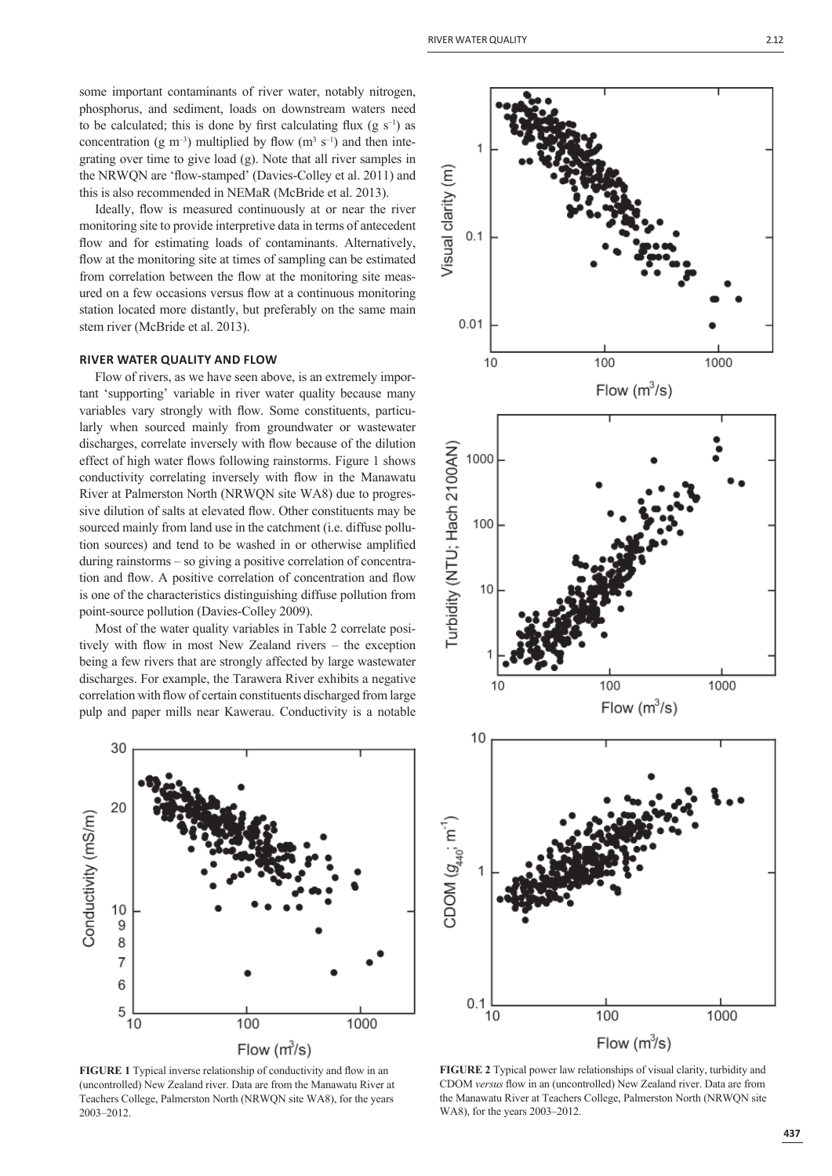some important contaminants of river water, notably nitrogen, phosphorus, and sediment, loads on downstream waters need to be calculated; this is done by first calculating flux (g  $s^{-1}$ ) as concentration (g m<sup>-3</sup>) multiplied by flow (m<sup>3</sup> s<sup>-1</sup>) and then integrating over time to give load (g). Note that all river samples in the NRWQN are 'flow-stamped' (Davies-Colley et al. 2011) and this is also recommended in NEMaR (McBride et al. 2013).

Ideally, flow is measured continuously at or near the river monitoring site to provide interpretive data in terms of antecedent flow and for estimating loads of contaminants. Alternatively, flow at the monitoring site at times of sampling can be estimated from correlation between the flow at the monitoring site measured on a few occasions versus flow at a continuous monitoring station located more distantly, but preferably on the same main stem river (McBride et al. 2013).

# **RIVER WATER QUALITY AND FLOW**

Flow of rivers, as we have seen above, is an extremely important 'supporting' variable in river water quality because many variables vary strongly with flow. Some constituents, particularly when sourced mainly from groundwater or wastewater discharges, correlate inversely with flow because of the dilution effect of high water flows following rainstorms. Figure 1 shows conductivity correlating inversely with flow in the Manawatu River at Palmerston North (NRWQN site WA8) due to progressive dilution of salts at elevated flow. Other constituents may be sourced mainly from land use in the catchment (i.e. diffuse pollution sources) and tend to be washed in or otherwise amplified during rainstorms – so giving a positive correlation of concentration and flow. A positive correlation of concentration and flow is one of the characteristics distinguishing diffuse pollution from point-source pollution (Davies-Colley 2009).

Most of the water quality variables in Table 2 correlate positively with flow in most New Zealand rivers  $-$  the exception being a few rivers that are strongly affected by large wastewater discharges. For example, the Tarawera River exhibits a negative correlation with flow of certain constituents discharged from large pulp and paper mills near Kawerau. Conductivity is a notable



**FIGURE 1** Typical inverse relationship of conductivity and flow in an (uncontrolled) New Zealand river. Data are from the Manawatu River at Teachers College, Palmerston North (NRWQN site WA8), for the years 2003–2012.



**FIGURE 2** Typical power law relationships of visual clarity, turbidity and CDOM *versus* flow in an (uncontrolled) New Zealand river. Data are from the Manawatu River at Teachers College, Palmerston North (NRWQN site WA8), for the years 2003–2012.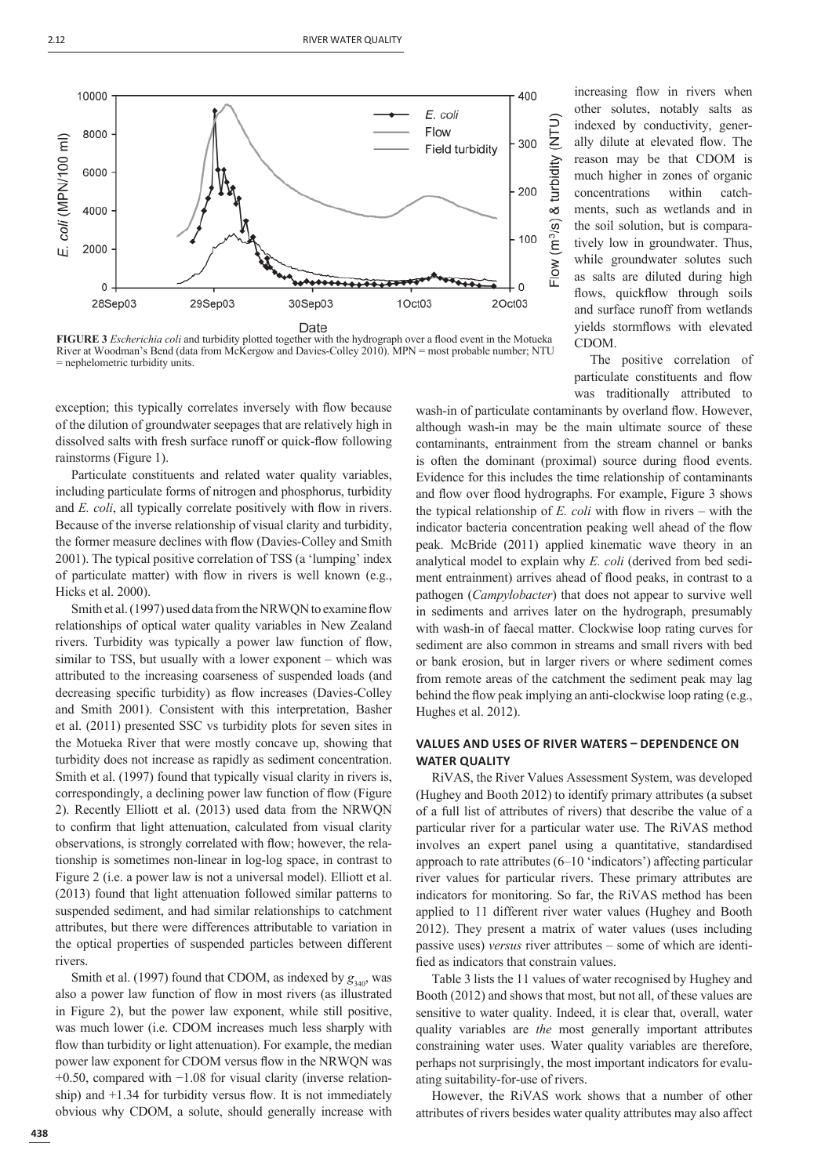

**FIGURE 3** *Escherichia coli* and turbidity plotted together with the hydrograph over a flood event in the Motueka River at Woodman's Bend (data from McKergow and Davies-Colley 2010). MPN = most probable number; NTU = nephelometric turbidity units.

exception; this typically correlates inversely with flow because of the dilution of groundwater seepages that are relatively high in dissolved salts with fresh surface runoff or quick-flow following rainstorms (Figure 1).

Particulate constituents and related water quality variables, including particulate forms of nitrogen and phosphorus, turbidity and *E. coli*, all typically correlate positively with flow in rivers. Because of the inverse relationship of visual clarity and turbidity, the former measure declines with flow (Davies-Colley and Smith 2001). The typical positive correlation of TSS (a 'lumping' index of particulate matter) with flow in rivers is well known (e.g., Hicks et al. 2000).

Smith et al. (1997) used data from the NRWQN to examine flow relationships of optical water quality variables in New Zealand rivers. Turbidity was typically a power law function of flow, similar to TSS, but usually with a lower exponent – which was attributed to the increasing coarseness of suspended loads (and decreasing specific turbidity) as flow increases (Davies-Colley and Smith 2001). Consistent with this interpretation, Basher et al. (2011) presented SSC vs turbidity plots for seven sites in the Motueka River that were mostly concave up, showing that turbidity does not increase as rapidly as sediment concentration. Smith et al. (1997) found that typically visual clarity in rivers is, correspondingly, a declining power law function of flow (Figure 2). Recently Elliott et al. (2013) used data from the NRWQN to confirm that light attenuation, calculated from visual clarity observations, is strongly correlated with flow; however, the relationship is sometimes non-linear in log-log space, in contrast to Figure 2 (i.e. a power law is not a universal model). Elliott et al. (2013) found that light attenuation followed similar patterns to suspended sediment, and had similar relationships to catchment attributes, but there were differences attributable to variation in the optical properties of suspended particles between different rivers.

Smith et al. (1997) found that CDOM, as indexed by  $g_{340}$ , was also a power law function of flow in most rivers (as illustrated in Figure 2), but the power law exponent, while still positive, was much lower (i.e. CDOM increases much less sharply with flow than turbidity or light attenuation). For example, the median power law exponent for CDOM versus flow in the NRWQN was +0.50, compared with −1.08 for visual clarity (inverse relationship) and  $+1.34$  for turbidity versus flow. It is not immediately obvious why CDOM, a solute, should generally increase with increasing flow in rivers when other solutes, notably salts as indexed by conductivity, generally dilute at elevated flow. The reason may be that CDOM is much higher in zones of organic concentrations within catchments, such as wetlands and in the soil solution, but is comparatively low in groundwater. Thus, while groundwater solutes such as salts are diluted during high flows, quickflow through soils and surface runoff from wetlands yields stormflows with elevated CDOM.

The positive correlation of particulate constituents and flow was traditionally attributed to

wash-in of particulate contaminants by overland flow. However, although wash-in may be the main ultimate source of these contaminants, entrainment from the stream channel or banks is often the dominant (proximal) source during flood events. Evidence for this includes the time relationship of contaminants and flow over flood hydrographs. For example, Figure 3 shows the typical relationship of  $E$ . *coli* with flow in rivers – with the indicator bacteria concentration peaking well ahead of the flow peak. McBride (2011) applied kinematic wave theory in an analytical model to explain why *E. coli* (derived from bed sediment entrainment) arrives ahead of flood peaks, in contrast to a pathogen (*Campylobacter*) that does not appear to survive well in sediments and arrives later on the hydrograph, presumably with wash-in of faecal matter. Clockwise loop rating curves for sediment are also common in streams and small rivers with bed or bank erosion, but in larger rivers or where sediment comes from remote areas of the catchment the sediment peak may lag behind the flow peak implying an anti-clockwise loop rating (e.g., Hughes et al. 2012).

# **VALUES AND USES OF RIVER WATERS - DEPENDENCE ON WATER QUALITY**

RiVAS, the River Values Assessment System, was developed (Hughey and Booth 2012) to identify primary attributes (a subset of a full list of attributes of rivers) that describe the value of a particular river for a particular water use. The RiVAS method involves an expert panel using a quantitative, standardised approach to rate attributes (6–10 'indicators') affecting particular river values for particular rivers. These primary attributes are indicators for monitoring. So far, the RiVAS method has been applied to 11 different river water values (Hughey and Booth 2012). They present a matrix of water values (uses including passive uses) *versus* river attributes – some of which are identified as indicators that constrain values.

Table 3 lists the 11 values of water recognised by Hughey and Booth (2012) and shows that most, but not all, of these values are sensitive to water quality. Indeed, it is clear that, overall, water quality variables are *the* most generally important attributes constraining water uses. Water quality variables are therefore, perhaps not surprisingly, the most important indicators for evaluating suitability-for-use of rivers.

However, the RiVAS work shows that a number of other attributes of rivers besides water quality attributes may also affect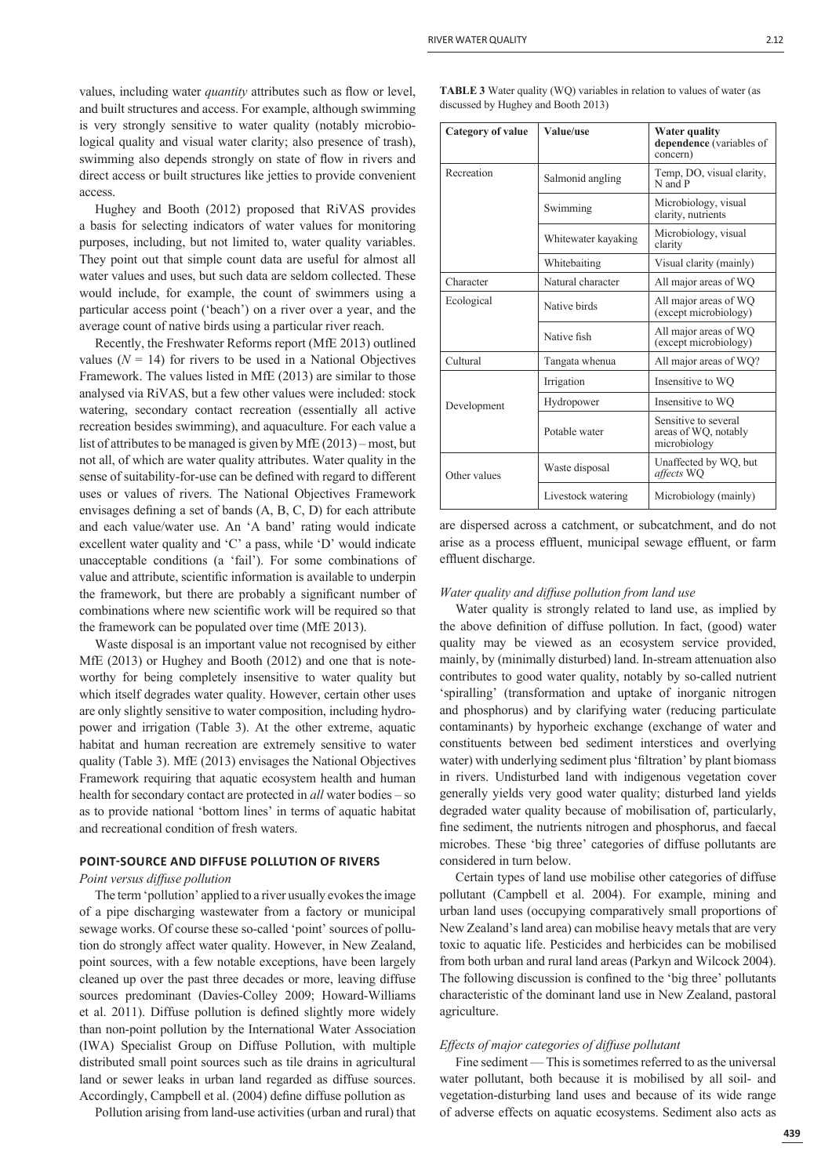values, including water *quantity* attributes such as flow or level, and built structures and access. For example, although swimming is very strongly sensitive to water quality (notably microbiological quality and visual water clarity; also presence of trash), swimming also depends strongly on state of flow in rivers and direct access or built structures like jetties to provide convenient access.

Hughey and Booth (2012) proposed that RiVAS provides a basis for selecting indicators of water values for monitoring purposes, including, but not limited to, water quality variables. They point out that simple count data are useful for almost all water values and uses, but such data are seldom collected. These would include, for example, the count of swimmers using a particular access point ('beach') on a river over a year, and the average count of native birds using a particular river reach.

Recently, the Freshwater Reforms report (MfE 2013) outlined values  $(N = 14)$  for rivers to be used in a National Objectives Framework. The values listed in MfE (2013) are similar to those analysed via RiVAS, but a few other values were included: stock watering, secondary contact recreation (essentially all active recreation besides swimming), and aquaculture. For each value a list of attributes to be managed is given by MfE (2013) – most, but not all, of which are water quality attributes. Water quality in the sense of suitability-for-use can be defined with regard to different uses or values of rivers. The National Objectives Framework envisages defining a set of bands  $(A, B, C, D)$  for each attribute and each value/water use. An 'A band' rating would indicate excellent water quality and 'C' a pass, while 'D' would indicate unacceptable conditions (a 'fail'). For some combinations of value and attribute, scientific information is available to underpin the framework, but there are probably a significant number of combinations where new scientific work will be required so that the framework can be populated over time (MfE 2013).

Waste disposal is an important value not recognised by either MfE (2013) or Hughey and Booth (2012) and one that is noteworthy for being completely insensitive to water quality but which itself degrades water quality. However, certain other uses are only slightly sensitive to water composition, including hydropower and irrigation (Table 3). At the other extreme, aquatic habitat and human recreation are extremely sensitive to water quality (Table 3). MfE (2013) envisages the National Objectives Framework requiring that aquatic ecosystem health and human health for secondary contact are protected in *all* water bodies – so as to provide national 'bottom lines' in terms of aquatic habitat and recreational condition of fresh waters.

# **POINT-SOURCE AND DIFFUSE POLLUTION OF RIVERS**

# *Point versus diffuse pollution*

The term 'pollution' applied to a river usually evokes the image of a pipe discharging wastewater from a factory or municipal sewage works. Of course these so-called 'point' sources of pollution do strongly affect water quality. However, in New Zealand, point sources, with a few notable exceptions, have been largely cleaned up over the past three decades or more, leaving diffuse sources predominant (Davies-Colley 2009; Howard-Williams et al. 2011). Diffuse pollution is defined slightly more widely than non-point pollution by the International Water Association (IWA) Specialist Group on Diffuse Pollution, with multiple distributed small point sources such as tile drains in agricultural land or sewer leaks in urban land regarded as diffuse sources. Accordingly, Campbell et al. (2004) define diffuse pollution as

Pollution arising from land-use activities (urban and rural) that

**TABLE 3** Water quality (WQ) variables in relation to values of water (as discussed by Hughey and Booth 2013)

| <b>Category of value</b> | Value/use           | Water quality<br>dependence (variables of<br>concern)        |  |
|--------------------------|---------------------|--------------------------------------------------------------|--|
| Recreation               | Salmonid angling    | Temp, DO, visual clarity,<br>N and P                         |  |
|                          | Swimming            | Microbiology, visual<br>clarity, nutrients                   |  |
|                          | Whitewater kayaking | Microbiology, visual<br>clarity                              |  |
|                          | Whitebaiting        | Visual clarity (mainly)                                      |  |
| Character                | Natural character   | All major areas of WQ                                        |  |
| Ecological               | Native birds        | All major areas of WO<br>(except microbiology)               |  |
|                          | Native fish         | All major areas of WO<br>(except microbiology)               |  |
| Cultural                 | Tangata whenua      | All major areas of WO?                                       |  |
|                          | Irrigation          | Insensitive to WO                                            |  |
| Development              | Hydropower          | Insensitive to WO                                            |  |
|                          | Potable water       | Sensitive to several<br>areas of WO, notably<br>microbiology |  |
| Other values             | Waste disposal      | Unaffected by WQ, but<br>affects WO                          |  |
|                          | Livestock watering  | Microbiology (mainly)                                        |  |

are dispersed across a catchment, or subcatchment, and do not arise as a process effluent, municipal sewage effluent, or farm effluent discharge.

## *Water quality and diffuse pollution from land use*

Water quality is strongly related to land use, as implied by the above definition of diffuse pollution. In fact, (good) water quality may be viewed as an ecosystem service provided, mainly, by (minimally disturbed) land. In-stream attenuation also contributes to good water quality, notably by so-called nutrient 'spiralling' (transformation and uptake of inorganic nitrogen and phosphorus) and by clarifying water (reducing particulate contaminants) by hyporheic exchange (exchange of water and constituents between bed sediment interstices and overlying water) with underlying sediment plus 'filtration' by plant biomass in rivers. Undisturbed land with indigenous vegetation cover generally yields very good water quality; disturbed land yields degraded water quality because of mobilisation of, particularly, fine sediment, the nutrients nitrogen and phosphorus, and faecal microbes. These 'big three' categories of diffuse pollutants are considered in turn below.

Certain types of land use mobilise other categories of diffuse pollutant (Campbell et al. 2004). For example, mining and urban land uses (occupying comparatively small proportions of New Zealand's land area) can mobilise heavy metals that are very toxic to aquatic life. Pesticides and herbicides can be mobilised from both urban and rural land areas (Parkyn and Wilcock 2004). The following discussion is confined to the 'big three' pollutants characteristic of the dominant land use in New Zealand, pastoral agriculture.

## *Effects of major categories of diffuse pollutant*

Fine sediment — This is sometimes referred to as the universal water pollutant, both because it is mobilised by all soil- and vegetation-disturbing land uses and because of its wide range of adverse effects on aquatic ecosystems. Sediment also acts as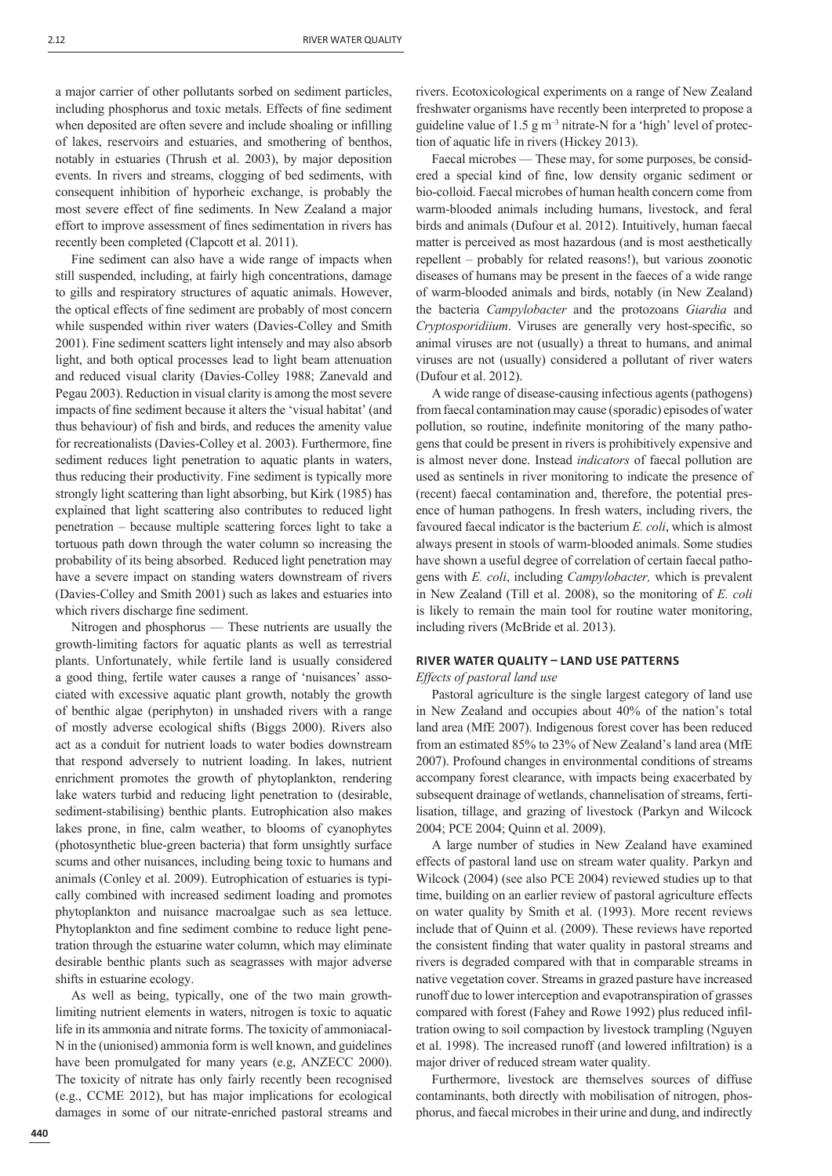a major carrier of other pollutants sorbed on sediment particles, including phosphorus and toxic metals. Effects of fine sediment when deposited are often severe and include shoaling or infilling of lakes, reservoirs and estuaries, and smothering of benthos, notably in estuaries (Thrush et al. 2003), by major deposition events. In rivers and streams, clogging of bed sediments, with consequent inhibition of hyporheic exchange, is probably the most severe effect of fine sediments. In New Zealand a major effort to improve assessment of fines sedimentation in rivers has recently been completed (Clapcott et al. 2011).

Fine sediment can also have a wide range of impacts when still suspended, including, at fairly high concentrations, damage to gills and respiratory structures of aquatic animals. However, the optical effects of fine sediment are probably of most concern while suspended within river waters (Davies-Colley and Smith 2001). Fine sediment scatters light intensely and may also absorb light, and both optical processes lead to light beam attenuation and reduced visual clarity (Davies-Colley 1988; Zanevald and Pegau 2003). Reduction in visual clarity is among the most severe impacts of fine sediment because it alters the 'visual habitat' (and thus behaviour) of fish and birds, and reduces the amenity value for recreationalists (Davies-Colley et al. 2003). Furthermore, fine sediment reduces light penetration to aquatic plants in waters, thus reducing their productivity. Fine sediment is typically more strongly light scattering than light absorbing, but Kirk (1985) has explained that light scattering also contributes to reduced light penetration – because multiple scattering forces light to take a tortuous path down through the water column so increasing the probability of its being absorbed. Reduced light penetration may have a severe impact on standing waters downstream of rivers (Davies-Colley and Smith 2001) such as lakes and estuaries into which rivers discharge fine sediment.

Nitrogen and phosphorus — These nutrients are usually the growth-limiting factors for aquatic plants as well as terrestrial plants. Unfortunately, while fertile land is usually considered a good thing, fertile water causes a range of 'nuisances' associated with excessive aquatic plant growth, notably the growth of benthic algae (periphyton) in unshaded rivers with a range of mostly adverse ecological shifts (Biggs 2000). Rivers also act as a conduit for nutrient loads to water bodies downstream that respond adversely to nutrient loading. In lakes, nutrient enrichment promotes the growth of phytoplankton, rendering lake waters turbid and reducing light penetration to (desirable, sediment-stabilising) benthic plants. Eutrophication also makes lakes prone, in fine, calm weather, to blooms of cyanophytes (photosynthetic blue-green bacteria) that form unsightly surface scums and other nuisances, including being toxic to humans and animals (Conley et al. 2009). Eutrophication of estuaries is typically combined with increased sediment loading and promotes phytoplankton and nuisance macroalgae such as sea lettuce. Phytoplankton and fine sediment combine to reduce light penetration through the estuarine water column, which may eliminate desirable benthic plants such as seagrasses with major adverse shifts in estuarine ecology.

As well as being, typically, one of the two main growthlimiting nutrient elements in waters, nitrogen is toxic to aquatic life in its ammonia and nitrate forms. The toxicity of ammoniacal-N in the (unionised) ammonia form is well known, and guidelines have been promulgated for many years (e.g. ANZECC 2000). The toxicity of nitrate has only fairly recently been recognised (e.g., CCME 2012), but has major implications for ecological damages in some of our nitrate-enriched pastoral streams and rivers. Ecotoxicological experiments on a range of New Zealand freshwater organisms have recently been interpreted to propose a guideline value of 1.5 g  $\text{m}^{-3}$  nitrate-N for a 'high' level of protection of aquatic life in rivers (Hickey 2013).

Faecal microbes — These may, for some purposes, be considered a special kind of fine, low density organic sediment or bio-colloid. Faecal microbes of human health concern come from warm-blooded animals including humans, livestock, and feral birds and animals (Dufour et al. 2012). Intuitively, human faecal matter is perceived as most hazardous (and is most aesthetically repellent – probably for related reasons!), but various zoonotic diseases of humans may be present in the faeces of a wide range of warm-blooded animals and birds, notably (in New Zealand) the bacteria *Campylobacter* and the protozoans *Giardia* and *Cryptosporidiium*. Viruses are generally very host-specific, so animal viruses are not (usually) a threat to humans, and animal viruses are not (usually) considered a pollutant of river waters (Dufour et al. 2012).

A wide range of disease-causing infectious agents (pathogens) from faecal contamination may cause (sporadic) episodes of water pollution, so routine, indefinite monitoring of the many pathogens that could be present in rivers is prohibitively expensive and is almost never done. Instead *indicators* of faecal pollution are used as sentinels in river monitoring to indicate the presence of (recent) faecal contamination and, therefore, the potential presence of human pathogens. In fresh waters, including rivers, the favoured faecal indicator is the bacterium *E. coli*, which is almost always present in stools of warm-blooded animals. Some studies have shown a useful degree of correlation of certain faecal pathogens with *E. coli*, including *Campylobacter,* which is prevalent in New Zealand (Till et al. 2008), so the monitoring of *E. coli*  is likely to remain the main tool for routine water monitoring, including rivers (McBride et al. 2013).

## **RIVER WATER QUALITY - LAND USE PATTERNS**

*Effects of pastoral land use*

Pastoral agriculture is the single largest category of land use in New Zealand and occupies about 40% of the nation's total land area (MfE 2007). Indigenous forest cover has been reduced from an estimated 85% to 23% of New Zealand's land area (MfE 2007). Profound changes in environmental conditions of streams accompany forest clearance, with impacts being exacerbated by subsequent drainage of wetlands, channelisation of streams, fertilisation, tillage, and grazing of livestock (Parkyn and Wilcock 2004; PCE 2004; Quinn et al. 2009).

A large number of studies in New Zealand have examined effects of pastoral land use on stream water quality. Parkyn and Wilcock (2004) (see also PCE 2004) reviewed studies up to that time, building on an earlier review of pastoral agriculture effects on water quality by Smith et al. (1993). More recent reviews include that of Quinn et al. (2009). These reviews have reported the consistent finding that water quality in pastoral streams and rivers is degraded compared with that in comparable streams in native vegetation cover. Streams in grazed pasture have increased runoff due to lower interception and evapotranspiration of grasses compared with forest (Fahey and Rowe 1992) plus reduced infiltration owing to soil compaction by livestock trampling (Nguyen et al. 1998). The increased runoff (and lowered infiltration) is a major driver of reduced stream water quality.

Furthermore, livestock are themselves sources of diffuse contaminants, both directly with mobilisation of nitrogen, phosphorus, and faecal microbes in their urine and dung, and indirectly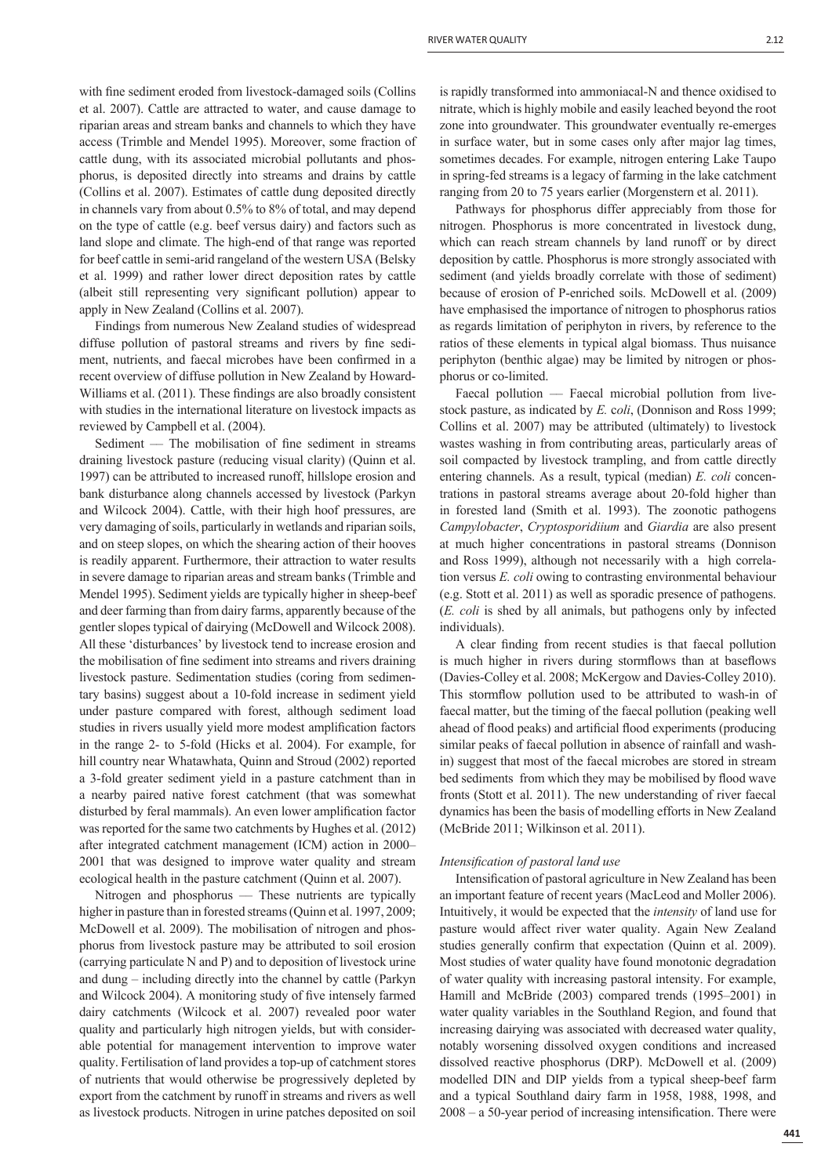with fine sediment eroded from livestock-damaged soils (Collins et al. 2007). Cattle are attracted to water, and cause damage to riparian areas and stream banks and channels to which they have access (Trimble and Mendel 1995). Moreover, some fraction of cattle dung, with its associated microbial pollutants and phosphorus, is deposited directly into streams and drains by cattle (Collins et al. 2007). Estimates of cattle dung deposited directly in channels vary from about 0.5% to 8% of total, and may depend on the type of cattle (e.g. beef versus dairy) and factors such as land slope and climate. The high-end of that range was reported for beef cattle in semi-arid rangeland of the western USA (Belsky et al. 1999) and rather lower direct deposition rates by cattle (albeit still representing very significant pollution) appear to apply in New Zealand (Collins et al. 2007).

Findings from numerous New Zealand studies of widespread diffuse pollution of pastoral streams and rivers by fine sediment, nutrients, and faecal microbes have been confirmed in a recent overview of diffuse pollution in New Zealand by Howard-Williams et al. (2011). These findings are also broadly consistent with studies in the international literature on livestock impacts as reviewed by Campbell et al. (2004).

Sediment –– The mobilisation of fine sediment in streams draining livestock pasture (reducing visual clarity) (Quinn et al. 1997) can be attributed to increased runoff, hillslope erosion and bank disturbance along channels accessed by livestock (Parkyn and Wilcock 2004). Cattle, with their high hoof pressures, are very damaging of soils, particularly in wetlands and riparian soils, and on steep slopes, on which the shearing action of their hooves is readily apparent. Furthermore, their attraction to water results in severe damage to riparian areas and stream banks (Trimble and Mendel 1995). Sediment yields are typically higher in sheep-beef and deer farming than from dairy farms, apparently because of the gentler slopes typical of dairying (McDowell and Wilcock 2008). All these 'disturbances' by livestock tend to increase erosion and the mobilisation of fine sediment into streams and rivers draining livestock pasture. Sedimentation studies (coring from sedimentary basins) suggest about a 10-fold increase in sediment yield under pasture compared with forest, although sediment load studies in rivers usually yield more modest amplification factors in the range 2- to 5-fold (Hicks et al. 2004). For example, for hill country near Whatawhata, Quinn and Stroud (2002) reported a 3-fold greater sediment yield in a pasture catchment than in a nearby paired native forest catchment (that was somewhat disturbed by feral mammals). An even lower amplification factor was reported for the same two catchments by Hughes et al. (2012) after integrated catchment management (ICM) action in 2000– 2001 that was designed to improve water quality and stream ecological health in the pasture catchment (Quinn et al. 2007).

Nitrogen and phosphorus — These nutrients are typically higher in pasture than in forested streams (Quinn et al. 1997, 2009; McDowell et al. 2009). The mobilisation of nitrogen and phosphorus from livestock pasture may be attributed to soil erosion (carrying particulate N and P) and to deposition of livestock urine and dung – including directly into the channel by cattle (Parkyn and Wilcock 2004). A monitoring study of five intensely farmed dairy catchments (Wilcock et al. 2007) revealed poor water quality and particularly high nitrogen yields, but with considerable potential for management intervention to improve water quality. Fertilisation of land provides a top-up of catchment stores of nutrients that would otherwise be progressively depleted by export from the catchment by runoff in streams and rivers as well as livestock products. Nitrogen in urine patches deposited on soil is rapidly transformed into ammoniacal-N and thence oxidised to nitrate, which is highly mobile and easily leached beyond the root zone into groundwater. This groundwater eventually re-emerges in surface water, but in some cases only after major lag times, sometimes decades. For example, nitrogen entering Lake Taupo in spring-fed streams is a legacy of farming in the lake catchment ranging from 20 to 75 years earlier (Morgenstern et al. 2011).

Pathways for phosphorus differ appreciably from those for nitrogen. Phosphorus is more concentrated in livestock dung, which can reach stream channels by land runoff or by direct deposition by cattle. Phosphorus is more strongly associated with sediment (and yields broadly correlate with those of sediment) because of erosion of P-enriched soils. McDowell et al. (2009) have emphasised the importance of nitrogen to phosphorus ratios as regards limitation of periphyton in rivers, by reference to the ratios of these elements in typical algal biomass. Thus nuisance periphyton (benthic algae) may be limited by nitrogen or phosphorus or co-limited.

Faecal pollution — Faecal microbial pollution from livestock pasture, as indicated by *E.* c*oli*, (Donnison and Ross 1999; Collins et al. 2007) may be attributed (ultimately) to livestock wastes washing in from contributing areas, particularly areas of soil compacted by livestock trampling, and from cattle directly entering channels. As a result, typical (median) *E. coli* concentrations in pastoral streams average about 20-fold higher than in forested land (Smith et al. 1993). The zoonotic pathogens *Campylobacter*, *Cryptosporidiium* and *Giardia* are also present at much higher concentrations in pastoral streams (Donnison and Ross 1999), although not necessarily with a high correlation versus *E. coli* owing to contrasting environmental behaviour (e.g. Stott et al. 2011) as well as sporadic presence of pathogens. (*E. coli* is shed by all animals, but pathogens only by infected individuals).

A clear finding from recent studies is that faecal pollution is much higher in rivers during stormflows than at baseflows (Davies-Colley et al. 2008; McKergow and Davies-Colley 2010). This stormflow pollution used to be attributed to wash-in of faecal matter, but the timing of the faecal pollution (peaking well ahead of flood peaks) and artificial flood experiments (producing similar peaks of faecal pollution in absence of rainfall and washin) suggest that most of the faecal microbes are stored in stream bed sediments from which they may be mobilised by flood wave fronts (Stott et al. 2011). The new understanding of river faecal dynamics has been the basis of modelling efforts in New Zealand (McBride 2011; Wilkinson et al. 2011).

## *Intensifi cation of pastoral land use*

Intensification of pastoral agriculture in New Zealand has been an important feature of recent years (MacLeod and Moller 2006). Intuitively, it would be expected that the *intensity* of land use for pasture would affect river water quality. Again New Zealand studies generally confirm that expectation (Quinn et al. 2009). Most studies of water quality have found monotonic degradation of water quality with increasing pastoral intensity. For example, Hamill and McBride (2003) compared trends (1995–2001) in water quality variables in the Southland Region, and found that increasing dairying was associated with decreased water quality, notably worsening dissolved oxygen conditions and increased dissolved reactive phosphorus (DRP). McDowell et al. (2009) modelled DIN and DIP yields from a typical sheep-beef farm and a typical Southland dairy farm in 1958, 1988, 1998, and  $2008 - a 50$ -year period of increasing intensification. There were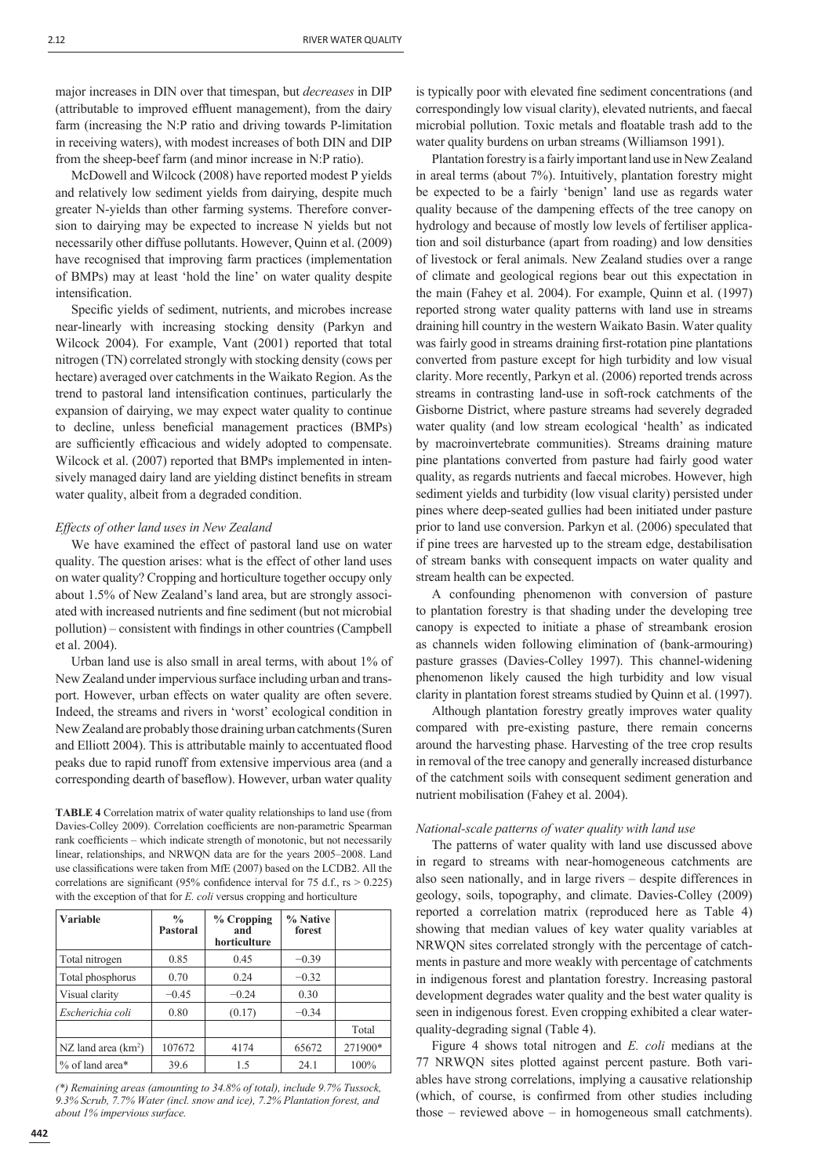major increases in DIN over that timespan, but *decreases* in DIP (attributable to improved effluent management), from the dairy farm (increasing the N:P ratio and driving towards P-limitation in receiving waters), with modest increases of both DIN and DIP from the sheep-beef farm (and minor increase in N:P ratio).

McDowell and Wilcock (2008) have reported modest P yields and relatively low sediment yields from dairying, despite much greater N-yields than other farming systems. Therefore conversion to dairying may be expected to increase N yields but not necessarily other diffuse pollutants. However, Quinn et al. (2009) have recognised that improving farm practices (implementation of BMPs) may at least 'hold the line' on water quality despite intensification.

Specific yields of sediment, nutrients, and microbes increase near-linearly with increasing stocking density (Parkyn and Wilcock 2004). For example, Vant (2001) reported that total nitrogen (TN) correlated strongly with stocking density (cows per hectare) averaged over catchments in the Waikato Region. As the trend to pastoral land intensification continues, particularly the expansion of dairying, we may expect water quality to continue to decline, unless beneficial management practices (BMPs) are sufficiently efficacious and widely adopted to compensate. Wilcock et al. (2007) reported that BMPs implemented in intensively managed dairy land are yielding distinct benefits in stream water quality, albeit from a degraded condition.

#### *Effects of other land uses in New Zealand*

We have examined the effect of pastoral land use on water quality. The question arises: what is the effect of other land uses on water quality? Cropping and horticulture together occupy only about 1.5% of New Zealand's land area, but are strongly associated with increased nutrients and fine sediment (but not microbial pollution) – consistent with findings in other countries (Campbell et al. 2004).

Urban land use is also small in areal terms, with about 1% of New Zealand under impervious surface including urban and transport. However, urban effects on water quality are often severe. Indeed, the streams and rivers in 'worst' ecological condition in New Zealand are probably those draining urban catchments (Suren and Elliott 2004). This is attributable mainly to accentuated flood peaks due to rapid runoff from extensive impervious area (and a corresponding dearth of baseflow). However, urban water quality

**TABLE 4** Correlation matrix of water quality relationships to land use (from Davies-Colley 2009). Correlation coefficients are non-parametric Spearman rank coefficients – which indicate strength of monotonic, but not necessarily linear, relationships, and NRWQN data are for the years 2005–2008. Land use classifications were taken from MfE (2007) based on the LCDB2. All the correlations are significant (95% confidence interval for 75 d.f.,  $rs > 0.225$ ) with the exception of that for *E. coli* versus cropping and horticulture

| <b>Variable</b>       | $\frac{0}{0}$<br><b>Pastoral</b> | $%$ Cropping<br>and<br>horticulture | % Native<br>forest |         |
|-----------------------|----------------------------------|-------------------------------------|--------------------|---------|
| Total nitrogen        | 0.85                             | 0.45                                | $-0.39$            |         |
| Total phosphorus      | 0.70                             | 0.24                                | $-0.32$            |         |
| Visual clarity        | $-0.45$                          | $-0.24$                             | 0.30               |         |
| Escherichia coli      | 0.80                             | (0.17)                              | $-0.34$            |         |
|                       |                                  |                                     |                    | Total   |
| NZ land area $(km^2)$ | 107672                           | 4174                                | 65672              | 271900* |
| % of land area*       | 39.6                             | 1.5                                 | 24.1               | 100%    |

*(\*) Remaining areas (amounting to 34.8% of total), include 9.7% Tussock, 9.3% Scrub, 7.7% Water (incl. snow and ice), 7.2% Plantation forest, and about 1% impervious surface.*

is typically poor with elevated fine sediment concentrations (and correspondingly low visual clarity), elevated nutrients, and faecal microbial pollution. Toxic metals and floatable trash add to the water quality burdens on urban streams (Williamson 1991).

Plantation forestry is a fairly important land use in New Zealand in areal terms (about 7%). Intuitively, plantation forestry might be expected to be a fairly 'benign' land use as regards water quality because of the dampening effects of the tree canopy on hydrology and because of mostly low levels of fertiliser application and soil disturbance (apart from roading) and low densities of livestock or feral animals. New Zealand studies over a range of climate and geological regions bear out this expectation in the main (Fahey et al. 2004). For example, Quinn et al. (1997) reported strong water quality patterns with land use in streams draining hill country in the western Waikato Basin. Water quality was fairly good in streams draining first-rotation pine plantations converted from pasture except for high turbidity and low visual clarity. More recently, Parkyn et al. (2006) reported trends across streams in contrasting land-use in soft-rock catchments of the Gisborne District, where pasture streams had severely degraded water quality (and low stream ecological 'health' as indicated by macroinvertebrate communities). Streams draining mature pine plantations converted from pasture had fairly good water quality, as regards nutrients and faecal microbes. However, high sediment yields and turbidity (low visual clarity) persisted under pines where deep-seated gullies had been initiated under pasture prior to land use conversion. Parkyn et al. (2006) speculated that if pine trees are harvested up to the stream edge, destabilisation of stream banks with consequent impacts on water quality and stream health can be expected.

A confounding phenomenon with conversion of pasture to plantation forestry is that shading under the developing tree canopy is expected to initiate a phase of streambank erosion as channels widen following elimination of (bank-armouring) pasture grasses (Davies-Colley 1997). This channel-widening phenomenon likely caused the high turbidity and low visual clarity in plantation forest streams studied by Quinn et al. (1997).

Although plantation forestry greatly improves water quality compared with pre-existing pasture, there remain concerns around the harvesting phase. Harvesting of the tree crop results in removal of the tree canopy and generally increased disturbance of the catchment soils with consequent sediment generation and nutrient mobilisation (Fahey et al. 2004).

## *National-scale patterns of water quality with land use*

The patterns of water quality with land use discussed above in regard to streams with near-homogeneous catchments are also seen nationally, and in large rivers – despite differences in geology, soils, topography, and climate. Davies-Colley (2009) reported a correlation matrix (reproduced here as Table 4) showing that median values of key water quality variables at NRWQN sites correlated strongly with the percentage of catchments in pasture and more weakly with percentage of catchments in indigenous forest and plantation forestry. Increasing pastoral development degrades water quality and the best water quality is seen in indigenous forest. Even cropping exhibited a clear waterquality-degrading signal (Table 4).

Figure 4 shows total nitrogen and *E. coli* medians at the 77 NRWQN sites plotted against percent pasture. Both variables have strong correlations, implying a causative relationship (which, of course, is confirmed from other studies including those – reviewed above – in homogeneous small catchments).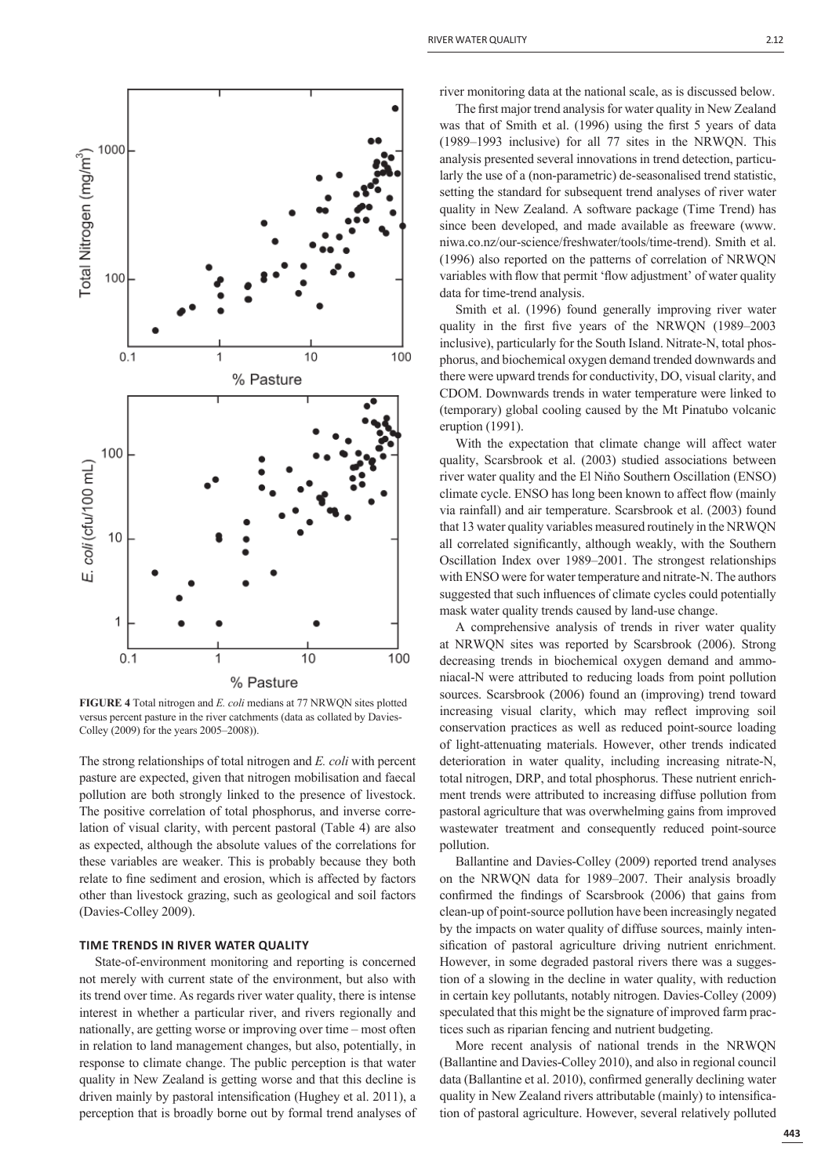

**FIGURE 4** Total nitrogen and *E. coli* medians at 77 NRWQN sites plotted versus percent pasture in the river catchments (data as collated by Davies-Colley (2009) for the years 2005–2008)).

The strong relationships of total nitrogen and *E. coli* with percent pasture are expected, given that nitrogen mobilisation and faecal pollution are both strongly linked to the presence of livestock. The positive correlation of total phosphorus, and inverse correlation of visual clarity, with percent pastoral (Table 4) are also as expected, although the absolute values of the correlations for these variables are weaker. This is probably because they both relate to fine sediment and erosion, which is affected by factors other than livestock grazing, such as geological and soil factors (Davies-Colley 2009).

# **TIME TRENDS IN RIVER WATER QUALITY**

State-of-environment monitoring and reporting is concerned not merely with current state of the environment, but also with its trend over time. As regards river water quality, there is intense interest in whether a particular river, and rivers regionally and nationally, are getting worse or improving over time – most often in relation to land management changes, but also, potentially, in response to climate change. The public perception is that water quality in New Zealand is getting worse and that this decline is driven mainly by pastoral intensification (Hughey et al. 2011), a perception that is broadly borne out by formal trend analyses of

The first major trend analysis for water quality in New Zealand was that of Smith et al. (1996) using the first 5 years of data (1989–1993 inclusive) for all 77 sites in the NRWQN. This analysis presented several innovations in trend detection, particularly the use of a (non-parametric) de-seasonalised trend statistic, setting the standard for subsequent trend analyses of river water quality in New Zealand. A software package (Time Trend) has since been developed, and made available as freeware (www. niwa.co.nz/our-science/freshwater/tools/time-trend). Smith et al. (1996) also reported on the patterns of correlation of NRWQN variables with flow that permit 'flow adjustment' of water quality data for time-trend analysis.

Smith et al. (1996) found generally improving river water quality in the first five years of the NRWQN (1989-2003 inclusive), particularly for the South Island. Nitrate-N, total phosphorus, and biochemical oxygen demand trended downwards and there were upward trends for conductivity, DO, visual clarity, and CDOM. Downwards trends in water temperature were linked to (temporary) global cooling caused by the Mt Pinatubo volcanic eruption (1991).

With the expectation that climate change will affect water quality, Scarsbrook et al. (2003) studied associations between river water quality and the El Niňo Southern Oscillation (ENSO) climate cycle. ENSO has long been known to affect flow (mainly via rainfall) and air temperature. Scarsbrook et al. (2003) found that 13 water quality variables measured routinely in the NRWQN all correlated significantly, although weakly, with the Southern Oscillation Index over 1989–2001. The strongest relationships with ENSO were for water temperature and nitrate-N. The authors suggested that such influences of climate cycles could potentially mask water quality trends caused by land-use change.

A comprehensive analysis of trends in river water quality at NRWQN sites was reported by Scarsbrook (2006). Strong decreasing trends in biochemical oxygen demand and ammoniacal-N were attributed to reducing loads from point pollution sources. Scarsbrook (2006) found an (improving) trend toward increasing visual clarity, which may reflect improving soil conservation practices as well as reduced point-source loading of light-attenuating materials. However, other trends indicated deterioration in water quality, including increasing nitrate-N, total nitrogen, DRP, and total phosphorus. These nutrient enrichment trends were attributed to increasing diffuse pollution from pastoral agriculture that was overwhelming gains from improved wastewater treatment and consequently reduced point-source pollution.

Ballantine and Davies-Colley (2009) reported trend analyses on the NRWQN data for 1989–2007. Their analysis broadly confirmed the findings of Scarsbrook (2006) that gains from clean-up of point-source pollution have been increasingly negated by the impacts on water quality of diffuse sources, mainly intensification of pastoral agriculture driving nutrient enrichment. However, in some degraded pastoral rivers there was a suggestion of a slowing in the decline in water quality, with reduction in certain key pollutants, notably nitrogen. Davies-Colley (2009) speculated that this might be the signature of improved farm practices such as riparian fencing and nutrient budgeting.

More recent analysis of national trends in the NRWQN (Ballantine and Davies-Colley 2010), and also in regional council data (Ballantine et al. 2010), confirmed generally declining water quality in New Zealand rivers attributable (mainly) to intensification of pastoral agriculture. However, several relatively polluted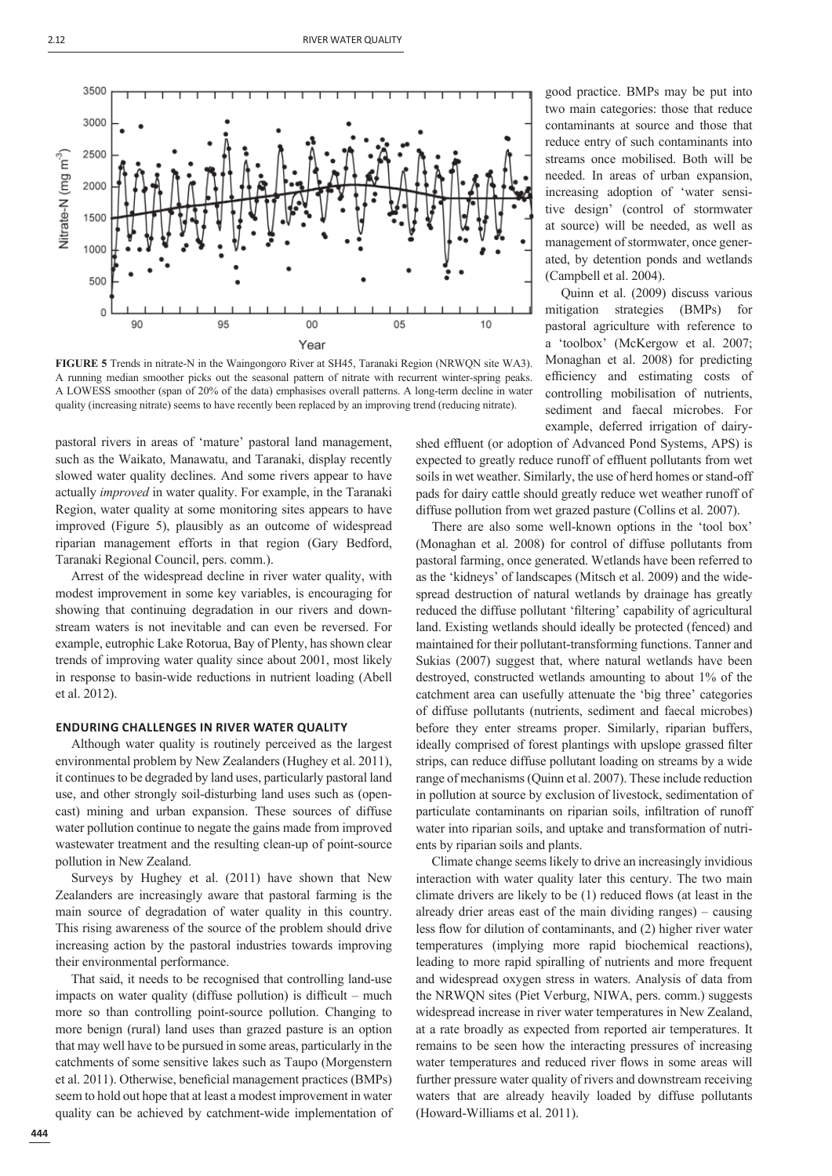

**FIGURE 5** Trends in nitrate-N in the Waingongoro River at SH45, Taranaki Region (NRWQN site WA3). A running median smoother picks out the seasonal pattern of nitrate with recurrent winter-spring peaks. A LOWESS smoother (span of 20% of the data) emphasises overall patterns. A long-term decline in water quality (increasing nitrate) seems to have recently been replaced by an improving trend (reducing nitrate).

pastoral rivers in areas of 'mature' pastoral land management, such as the Waikato, Manawatu, and Taranaki, display recently slowed water quality declines. And some rivers appear to have actually *improved* in water quality. For example, in the Taranaki Region, water quality at some monitoring sites appears to have improved (Figure 5), plausibly as an outcome of widespread riparian management efforts in that region (Gary Bedford, Taranaki Regional Council, pers. comm.).

Arrest of the widespread decline in river water quality, with modest improvement in some key variables, is encouraging for showing that continuing degradation in our rivers and downstream waters is not inevitable and can even be reversed. For example, eutrophic Lake Rotorua, Bay of Plenty, has shown clear trends of improving water quality since about 2001, most likely in response to basin-wide reductions in nutrient loading (Abell et al. 2012).

## **ENDURING CHALLENGES IN RIVER WATER QUALITY**

Although water quality is routinely perceived as the largest environmental problem by New Zealanders (Hughey et al. 2011), it continues to be degraded by land uses, particularly pastoral land use, and other strongly soil-disturbing land uses such as (opencast) mining and urban expansion. These sources of diffuse water pollution continue to negate the gains made from improved wastewater treatment and the resulting clean-up of point-source pollution in New Zealand.

Surveys by Hughey et al. (2011) have shown that New Zealanders are increasingly aware that pastoral farming is the main source of degradation of water quality in this country. This rising awareness of the source of the problem should drive increasing action by the pastoral industries towards improving their environmental performance.

That said, it needs to be recognised that controlling land-use impacts on water quality (diffuse pollution) is difficult – much more so than controlling point-source pollution. Changing to more benign (rural) land uses than grazed pasture is an option that may well have to be pursued in some areas, particularly in the catchments of some sensitive lakes such as Taupo (Morgenstern et al. 2011). Otherwise, beneficial management practices (BMPs) seem to hold out hope that at least a modest improvement in water quality can be achieved by catchment-wide implementation of

good practice. BMPs may be put into two main categories: those that reduce contaminants at source and those that reduce entry of such contaminants into streams once mobilised. Both will be needed. In areas of urban expansion, increasing adoption of 'water sensitive design' (control of stormwater at source) will be needed, as well as management of stormwater, once generated, by detention ponds and wetlands (Campbell et al. 2004).

Quinn et al. (2009) discuss various mitigation strategies (BMPs) for pastoral agriculture with reference to a 'toolbox' (McKergow et al. 2007; Monaghan et al. 2008) for predicting efficiency and estimating costs of controlling mobilisation of nutrients, sediment and faecal microbes. For example, deferred irrigation of dairy-

shed effluent (or adoption of Advanced Pond Systems, APS) is expected to greatly reduce runoff of effluent pollutants from wet soils in wet weather. Similarly, the use of herd homes or stand-off pads for dairy cattle should greatly reduce wet weather runoff of diffuse pollution from wet grazed pasture (Collins et al. 2007).

There are also some well-known options in the 'tool box' (Monaghan et al. 2008) for control of diffuse pollutants from pastoral farming, once generated. Wetlands have been referred to as the 'kidneys' of landscapes (Mitsch et al. 2009) and the widespread destruction of natural wetlands by drainage has greatly reduced the diffuse pollutant 'filtering' capability of agricultural land. Existing wetlands should ideally be protected (fenced) and maintained for their pollutant-transforming functions. Tanner and Sukias (2007) suggest that, where natural wetlands have been destroyed, constructed wetlands amounting to about 1% of the catchment area can usefully attenuate the 'big three' categories of diffuse pollutants (nutrients, sediment and faecal microbes) before they enter streams proper. Similarly, riparian buffers, ideally comprised of forest plantings with upslope grassed filter strips, can reduce diffuse pollutant loading on streams by a wide range of mechanisms (Quinn et al. 2007). These include reduction in pollution at source by exclusion of livestock, sedimentation of particulate contaminants on riparian soils, infiltration of runoff water into riparian soils, and uptake and transformation of nutrients by riparian soils and plants.

Climate change seems likely to drive an increasingly invidious interaction with water quality later this century. The two main climate drivers are likely to be  $(1)$  reduced flows (at least in the already drier areas east of the main dividing ranges) – causing less flow for dilution of contaminants, and (2) higher river water temperatures (implying more rapid biochemical reactions), leading to more rapid spiralling of nutrients and more frequent and widespread oxygen stress in waters. Analysis of data from the NRWQN sites (Piet Verburg, NIWA, pers. comm.) suggests widespread increase in river water temperatures in New Zealand, at a rate broadly as expected from reported air temperatures. It remains to be seen how the interacting pressures of increasing water temperatures and reduced river flows in some areas will further pressure water quality of rivers and downstream receiving waters that are already heavily loaded by diffuse pollutants (Howard-Williams et al. 2011).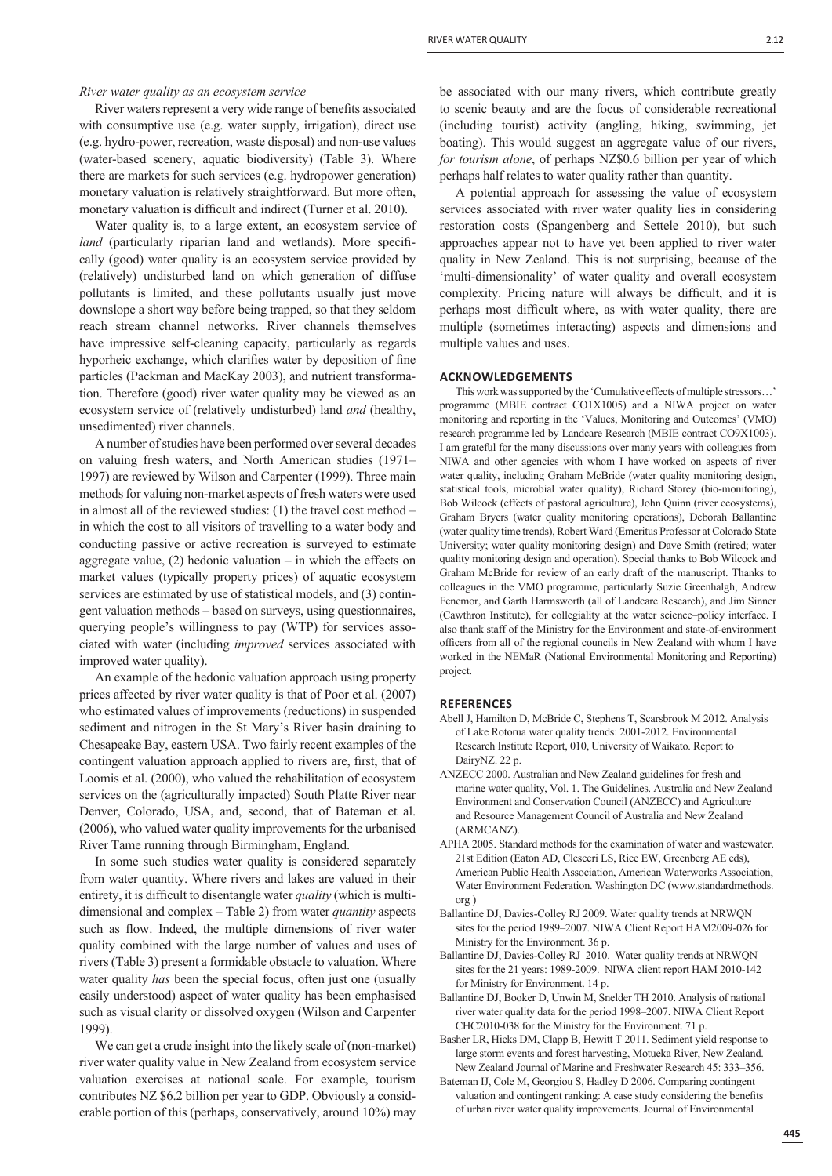*River water quality as an ecosystem service*

River waters represent a very wide range of benefits associated with consumptive use (e.g. water supply, irrigation), direct use (e.g. hydro-power, recreation, waste disposal) and non-use values (water-based scenery, aquatic biodiversity) (Table 3). Where there are markets for such services (e.g. hydropower generation) monetary valuation is relatively straightforward. But more often, monetary valuation is difficult and indirect (Turner et al. 2010).

Water quality is, to a large extent, an ecosystem service of *land* (particularly riparian land and wetlands). More specifically (good) water quality is an ecosystem service provided by (relatively) undisturbed land on which generation of diffuse pollutants is limited, and these pollutants usually just move downslope a short way before being trapped, so that they seldom reach stream channel networks. River channels themselves have impressive self-cleaning capacity, particularly as regards hyporheic exchange, which clarifies water by deposition of fine particles (Packman and MacKay 2003), and nutrient transformation. Therefore (good) river water quality may be viewed as an ecosystem service of (relatively undisturbed) land *and* (healthy, unsedimented) river channels.

A number of studies have been performed over several decades on valuing fresh waters, and North American studies (1971– 1997) are reviewed by Wilson and Carpenter (1999). Three main methods for valuing non-market aspects of fresh waters were used in almost all of the reviewed studies: (1) the travel cost method – in which the cost to all visitors of travelling to a water body and conducting passive or active recreation is surveyed to estimate aggregate value,  $(2)$  hedonic valuation – in which the effects on market values (typically property prices) of aquatic ecosystem services are estimated by use of statistical models, and (3) contingent valuation methods – based on surveys, using questionnaires, querying people's willingness to pay (WTP) for services associated with water (including *improved* services associated with improved water quality).

An example of the hedonic valuation approach using property prices affected by river water quality is that of Poor et al. (2007) who estimated values of improvements (reductions) in suspended sediment and nitrogen in the St Mary's River basin draining to Chesapeake Bay, eastern USA. Two fairly recent examples of the contingent valuation approach applied to rivers are, first, that of Loomis et al. (2000), who valued the rehabilitation of ecosystem services on the (agriculturally impacted) South Platte River near Denver, Colorado, USA, and, second, that of Bateman et al. (2006), who valued water quality improvements for the urbanised River Tame running through Birmingham, England.

In some such studies water quality is considered separately from water quantity. Where rivers and lakes are valued in their entirety, it is difficult to disentangle water *quality* (which is multidimensional and complex – Table 2) from water *quantity* aspects such as flow. Indeed, the multiple dimensions of river water quality combined with the large number of values and uses of rivers (Table 3) present a formidable obstacle to valuation. Where water quality *has* been the special focus, often just one (usually easily understood) aspect of water quality has been emphasised such as visual clarity or dissolved oxygen (Wilson and Carpenter 1999).

We can get a crude insight into the likely scale of (non-market) river water quality value in New Zealand from ecosystem service valuation exercises at national scale. For example, tourism contributes NZ \$6.2 billion per year to GDP. Obviously a considerable portion of this (perhaps, conservatively, around 10%) may

be associated with our many rivers, which contribute greatly to scenic beauty and are the focus of considerable recreational (including tourist) activity (angling, hiking, swimming, jet boating). This would suggest an aggregate value of our rivers, *for tourism alone*, of perhaps NZ\$0.6 billion per year of which perhaps half relates to water quality rather than quantity.

A potential approach for assessing the value of ecosystem services associated with river water quality lies in considering restoration costs (Spangenberg and Settele 2010), but such approaches appear not to have yet been applied to river water quality in New Zealand. This is not surprising, because of the 'multi-dimensionality' of water quality and overall ecosystem complexity. Pricing nature will always be difficult, and it is perhaps most difficult where, as with water quality, there are multiple (sometimes interacting) aspects and dimensions and multiple values and uses.

# **ACKNOWLEDGEMENTS**

This work was supported by the 'Cumulative effects of multiple stressors... programme (MBIE contract CO1X1005) and a NIWA project on water monitoring and reporting in the 'Values, Monitoring and Outcomes' (VMO) research programme led by Landcare Research (MBIE contract CO9X1003). I am grateful for the many discussions over many years with colleagues from NIWA and other agencies with whom I have worked on aspects of river water quality, including Graham McBride (water quality monitoring design, statistical tools, microbial water quality), Richard Storey (bio-monitoring), Bob Wilcock (effects of pastoral agriculture), John Quinn (river ecosystems), Graham Bryers (water quality monitoring operations), Deborah Ballantine (water quality time trends), Robert Ward (Emeritus Professor at Colorado State University; water quality monitoring design) and Dave Smith (retired; water quality monitoring design and operation). Special thanks to Bob Wilcock and Graham McBride for review of an early draft of the manuscript. Thanks to colleagues in the VMO programme, particularly Suzie Greenhalgh, Andrew Fenemor, and Garth Harmsworth (all of Landcare Research), and Jim Sinner (Cawthron Institute), for collegiality at the water science–policy interface. I also thank staff of the Ministry for the Environment and state-of-environment officers from all of the regional councils in New Zealand with whom I have worked in the NEMaR (National Environmental Monitoring and Reporting) project.

#### **REFERENCES**

- Abell J, Hamilton D, McBride C, Stephens T, Scarsbrook M 2012. Analysis of Lake Rotorua water quality trends: 2001-2012. Environmental Research Institute Report, 010, University of Waikato. Report to DairyNZ. 22 p.
- ANZECC 2000. Australian and New Zealand guidelines for fresh and marine water quality, Vol. 1. The Guidelines. Australia and New Zealand Environment and Conservation Council (ANZECC) and Agriculture and Resource Management Council of Australia and New Zealand (ARMCANZ).
- APHA 2005. Standard methods for the examination of water and wastewater. 21st Edition (Eaton AD, Clesceri LS, Rice EW, Greenberg AE eds), American Public Health Association, American Waterworks Association, Water Environment Federation. Washington DC (www.standardmethods. org )
- Ballantine DJ, Davies-Colley RJ 2009. Water quality trends at NRWQN sites for the period 1989–2007. NIWA Client Report HAM2009-026 for Ministry for the Environment. 36 p.
- Ballantine DJ, Davies-Colley RJ 2010. Water quality trends at NRWQN sites for the 21 years: 1989-2009. NIWA client report HAM 2010-142 for Ministry for Environment. 14 p.
- Ballantine DJ, Booker D, Unwin M, Snelder TH 2010. Analysis of national river water quality data for the period 1998–2007. NIWA Client Report CHC2010-038 for the Ministry for the Environment. 71 p.
- Basher LR, Hicks DM, Clapp B, Hewitt T 2011. Sediment yield response to large storm events and forest harvesting, Motueka River, New Zealand. New Zealand Journal of Marine and Freshwater Research 45: 333–356.
- Bateman IJ, Cole M, Georgiou S, Hadley D 2006. Comparing contingent valuation and contingent ranking: A case study considering the benefits of urban river water quality improvements. Journal of Environmental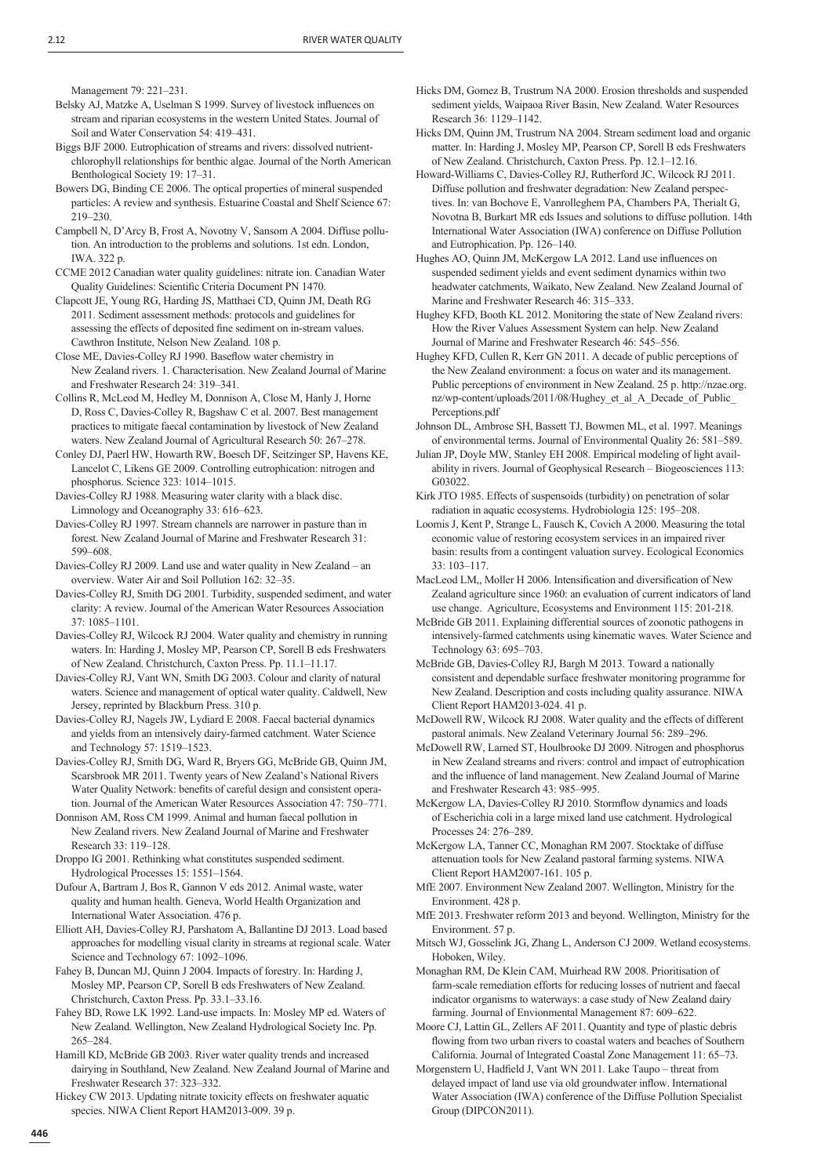Management 79: 221–231.

Belsky AJ, Matzke A, Uselman S 1999. Survey of livestock influences on stream and riparian ecosystems in the western United States. Journal of Soil and Water Conservation 54: 419–431.

 Biggs BJF 2000. Eutrophication of streams and rivers: dissolved nutrientchlorophyll relationships for benthic algae. Journal of the North American Benthological Society 19: 17–31.

 Bowers DG, Binding CE 2006. The optical properties of mineral suspended particles: A review and synthesis. Estuarine Coastal and Shelf Science 67: 219–230.

 Campbell N, D'Arcy B, Frost A, Novotny V, Sansom A 2004. Diffuse pollution. An introduction to the problems and solutions. 1st edn. London, IWA. 322 p.

 CCME 2012 Canadian water quality guidelines: nitrate ion. Canadian Water Quality Guidelines: Scientific Criteria Document PN 1470.

 Clapcott JE, Young RG, Harding JS, Matthaei CD, Quinn JM, Death RG 2011. Sediment assessment methods: protocols and guidelines for assessing the effects of deposited fine sediment on in-stream values. Cawthron Institute, Nelson New Zealand. 108 p.

Close ME, Davies-Colley RJ 1990. Baseflow water chemistry in New Zealand rivers. 1. Characterisation. New Zealand Journal of Marine and Freshwater Research 24: 319–341.

 Collins R, McLeod M, Hedley M, Donnison A, Close M, Hanly J, Horne D, Ross C, Davies-Colley R, Bagshaw C et al. 2007. Best management practices to mitigate faecal contamination by livestock of New Zealand waters. New Zealand Journal of Agricultural Research 50: 267–278.

 Conley DJ, Paerl HW, Howarth RW, Boesch DF, Seitzinger SP, Havens KE, Lancelot C, Likens GE 2009. Controlling eutrophication: nitrogen and phosphorus. Science 323: 1014–1015.

 Davies-Colley RJ 1988. Measuring water clarity with a black disc. Limnology and Oceanography 33: 616–623.

 Davies-Colley RJ 1997. Stream channels are narrower in pasture than in forest. New Zealand Journal of Marine and Freshwater Research 31: 599–608.

 Davies-Colley RJ 2009. Land use and water quality in New Zealand – an overview. Water Air and Soil Pollution 162: 32–35.

 Davies-Colley RJ, Smith DG 2001. Turbidity, suspended sediment, and water clarity: A review. Journal of the American Water Resources Association 37: 1085–1101.

 Davies-Colley RJ, Wilcock RJ 2004. Water quality and chemistry in running waters. In: Harding J, Mosley MP, Pearson CP, Sorell B eds Freshwaters of New Zealand. Christchurch, Caxton Press. Pp. 11.1–11.17.

 Davies-Colley RJ, Vant WN, Smith DG 2003. Colour and clarity of natural waters. Science and management of optical water quality. Caldwell, New Jersey, reprinted by Blackburn Press. 310 p.

 Davies-Colley RJ, Nagels JW, Lydiard E 2008. Faecal bacterial dynamics and yields from an intensively dairy-farmed catchment. Water Science and Technology 57: 1519–1523.

 Davies-Colley RJ, Smith DG, Ward R, Bryers GG, McBride GB, Quinn JM, Scarsbrook MR 2011. Twenty years of New Zealand's National Rivers Water Quality Network: benefits of careful design and consistent operation. Journal of the American Water Resources Association 47: 750–771.

 Donnison AM, Ross CM 1999. Animal and human faecal pollution in New Zealand rivers. New Zealand Journal of Marine and Freshwater Research 33: 119–128.

 Droppo IG 2001. Rethinking what constitutes suspended sediment. Hydrological Processes 15: 1551–1564.

 Dufour A, Bartram J, Bos R, Gannon V eds 2012. Animal waste, water quality and human health. Geneva, World Health Organization and International Water Association. 476 p.

 Elliott AH, Davies-Colley RJ, Parshatom A, Ballantine DJ 2013. Load based approaches for modelling visual clarity in streams at regional scale. Water Science and Technology 67: 1092–1096.

 Fahey B, Duncan MJ, Quinn J 2004. Impacts of forestry. In: Harding J, Mosley MP, Pearson CP, Sorell B eds Freshwaters of New Zealand. Christchurch, Caxton Press. Pp. 33.1–33.16.

 Fahey BD, Rowe LK 1992. Land-use impacts. In: Mosley MP ed. Waters of New Zealand. Wellington, New Zealand Hydrological Society Inc. Pp. 265–284.

 Hamill KD, McBride GB 2003. River water quality trends and increased dairying in Southland, New Zealand. New Zealand Journal of Marine and Freshwater Research 37: 323–332.

 Hickey CW 2013. Updating nitrate toxicity effects on freshwater aquatic species. NIWA Client Report HAM2013-009. 39 p.

 Hicks DM, Gomez B, Trustrum NA 2000. Erosion thresholds and suspended sediment yields, Waipaoa River Basin, New Zealand. Water Resources Research 36: 1129–1142.

 Hicks DM, Quinn JM, Trustrum NA 2004. Stream sediment load and organic matter. In: Harding J, Mosley MP, Pearson CP, Sorell B eds Freshwaters of New Zealand. Christchurch, Caxton Press. Pp. 12.1–12.16.

 Howard-Williams C, Davies-Colley RJ, Rutherford JC, Wilcock RJ 2011. Diffuse pollution and freshwater degradation: New Zealand perspectives. In: van Bochove E, Vanrolleghem PA, Chambers PA, Therialt G, Novotna B, Burkart MR eds Issues and solutions to diffuse pollution. 14th International Water Association (IWA) conference on Diffuse Pollution and Eutrophication. Pp. 126–140.

Hughes AO, Quinn JM, McKergow LA 2012. Land use influences on suspended sediment yields and event sediment dynamics within two headwater catchments, Waikato, New Zealand. New Zealand Journal of Marine and Freshwater Research 46: 315–333.

 Hughey KFD, Booth KL 2012. Monitoring the state of New Zealand rivers: How the River Values Assessment System can help. New Zealand Journal of Marine and Freshwater Research 46: 545–556.

 Hughey KFD, Cullen R, Kerr GN 2011. A decade of public perceptions of the New Zealand environment: a focus on water and its management. Public perceptions of environment in New Zealand. 25 p. http://nzae.org. nz/wp-content/uploads/2011/08/Hughey\_et\_al\_A\_Decade\_of\_Public\_ Perceptions.pdf

 Johnson DL, Ambrose SH, Bassett TJ, Bowmen ML, et al. 1997. Meanings of environmental terms. Journal of Environmental Quality 26: 581–589.

 Julian JP, Doyle MW, Stanley EH 2008. Empirical modeling of light availability in rivers. Journal of Geophysical Research – Biogeosciences 113: G03022.

 Kirk JTO 1985. Effects of suspensoids (turbidity) on penetration of solar radiation in aquatic ecosystems. Hydrobiologia 125: 195–208.

 Loomis J, Kent P, Strange L, Fausch K, Covich A 2000. Measuring the total economic value of restoring ecosystem services in an impaired river basin: results from a contingent valuation survey. Ecological Economics 33: 103–117.

MacLeod LM,, Moller H 2006. Intensification and diversification of New Zealand agriculture since 1960: an evaluation of current indicators of land use change. Agriculture, Ecosystems and Environment 115: 201-218.

McBride GB 2011. Explaining differential sources of zoonotic pathogens in intensively-farmed catchments using kinematic waves. Water Science and Technology 63: 695–703.

 McBride GB, Davies-Colley RJ, Bargh M 2013. Toward a nationally consistent and dependable surface freshwater monitoring programme for New Zealand. Description and costs including quality assurance. NIWA Client Report HAM2013-024. 41 p.

 McDowell RW, Wilcock RJ 2008. Water quality and the effects of different pastoral animals. New Zealand Veterinary Journal 56: 289–296.

 McDowell RW, Larned ST, Houlbrooke DJ 2009. Nitrogen and phosphorus in New Zealand streams and rivers: control and impact of eutrophication and the influence of land management. New Zealand Journal of Marine and Freshwater Research 43: 985–995.

McKergow LA, Davies-Colley RJ 2010. Stormflow dynamics and loads of Escherichia coli in a large mixed land use catchment. Hydrological Processes 24: 276–289.

 McKergow LA, Tanner CC, Monaghan RM 2007. Stocktake of diffuse attenuation tools for New Zealand pastoral farming systems. NIWA Client Report HAM2007-161. 105 p.

 MfE 2007. Environment New Zealand 2007. Wellington, Ministry for the Environment. 428 p.

 MfE 2013. Freshwater reform 2013 and beyond. Wellington, Ministry for the Environment. 57 p.

 Mitsch WJ, Gosselink JG, Zhang L, Anderson CJ 2009. Wetland ecosystems. Hoboken, Wiley.

 Monaghan RM, De Klein CAM, Muirhead RW 2008. Prioritisation of farm-scale remediation efforts for reducing losses of nutrient and faecal indicator organisms to waterways: a case study of New Zealand dairy farming. Journal of Envionmental Management 87: 609–622.

 Moore CJ, Lattin GL, Zellers AF 2011. Quantity and type of plastic debris flowing from two urban rivers to coastal waters and beaches of Southern California. Journal of Integrated Coastal Zone Management 11: 65–73.

Morgenstern U, Hadfield J, Vant WN 2011. Lake Taupo – threat from delayed impact of land use via old groundwater inflow. International Water Association (IWA) conference of the Diffuse Pollution Specialist Group (DIPCON2011).